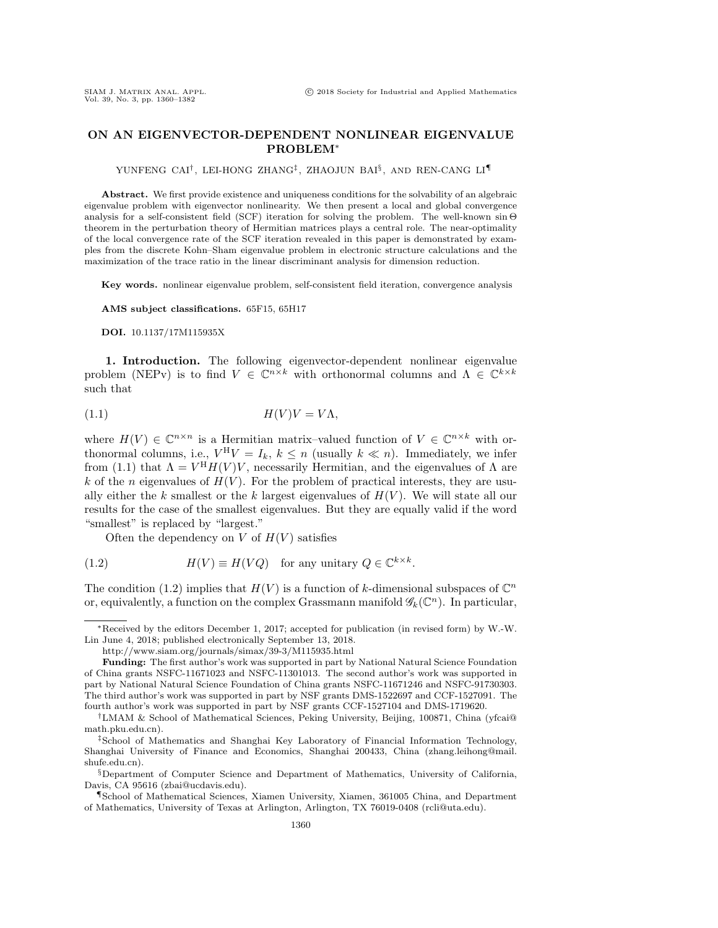## ON AN EIGENVECTOR-DEPENDENT NONLINEAR EIGENVALUE PROBLEM\*

YUNFENG CAI<sup>†</sup>, LEI-HONG ZHANG<sup>‡</sup>, ZHAOJUN BAI<sup>§</sup>, AND REN-CANG LI¶

Abstract. We first provide existence and uniqueness conditions for the solvability of an algebraic eigenvalue problem with eigenvector nonlinearity. We then present a local and global convergence analysis for a self-consistent field (SCF) iteration for solving the problem. The well-known  $\sin \Theta$ theorem in the perturbation theory of Hermitian matrices plays a central role. The near-optimality of the local convergence rate of the SCF iteration revealed in this paper is demonstrated by examples from the discrete Kohn--Sham eigenvalue problem in electronic structure calculations and the maximization of the trace ratio in the linear discriminant analysis for dimension reduction.

Key words. nonlinear eigenvalue problem, self-consistent field iteration, convergence analysis

AMS subject classifications. 65F15, 65H17

DOI. 10.1137/17M115935X

1. Introduction. The following eigenvector-dependent nonlinear eigenvalue problem (NEPv) is to find  $V \in \mathbb C^{n \times k}$  with orthonormal columns and  $\Lambda \in \mathbb C^{k \times k}$ such that

<span id="page-0-0"></span>(1.1) H(V )V = V \Lambda ,

where  $H(V) \in \mathbb{C}^{n \times n}$  is a Hermitian matrix-valued function of  $V \in \mathbb{C}^{n \times k}$  with orthonormal columns, i.e.,  $V^H V = I_k$ ,  $k \leq n$  (usually  $k \ll n$ ). Immediately, we infer from [\(1.1\)](#page-0-0) that  $\Lambda = V^H H(V) V$ , necessarily Hermitian, and the eigenvalues of  $\Lambda$  are k of the n eigenvalues of  $H(V)$ . For the problem of practical interests, they are usually either the k smallest or the k largest eigenvalues of  $H(V)$ . We will state all our results for the case of the smallest eigenvalues. But they are equally valid if the word "smallest" is replaced by "largest."

<span id="page-0-1"></span>Often the dependency on V of  $H(V)$  satisfies

(1.2) 
$$
H(V) \equiv H(VQ) \text{ for any unitary } Q \in \mathbb{C}^{k \times k}.
$$

The condition [\(1.2\)](#page-0-1) implies that  $H(V)$  is a function of k-dimensional subspaces of  $\mathbb C^n$ or, equivalently, a function on the complex Grassmann manifold  $\mathscr{G}_k(\mathbb C^n)$ . In particular,

<sup>\*</sup>Received by the editors December 1, 2017; accepted for publication (in revised form) by W.-W. Lin June 4, 2018; published electronically September 13, 2018.

<http://www.siam.org/journals/simax/39-3/M115935.html>

Funding: The first author's work was supported in part by National Natural Science Foundation of China grants NSFC-11671023 and NSFC-11301013. The second author's work was supported in part by National Natural Science Foundation of China grants NSFC-11671246 and NSFC-91730303. The third author's work was supported in part by NSF grants DMS-1522697 and CCF-1527091. The fourth author's work was supported in part by NSF grants CCF-1527104 and DMS-1719620.

 $\dagger$ LMAM & School of Mathematical Sciences, Peking University, Beijing, 100871, China [\(yfcai@](mailto:yfcai@math.pku.edu.cn)) [math.pku.edu.cn\).](mailto:yfcai@math.pku.edu.cn)

<sup>&</sup>lt;sup>‡</sup>School of Mathematics and Shanghai Key Laboratory of Financial Information Technology, Shanghai University of Finance and Economics, Shanghai 200433, China [\(zhang.leihong@mail.](mailto:zhang.leihong@mail.shufe.edu.cn) [shufe.edu.cn\)](mailto:zhang.leihong@mail.shufe.edu.cn).

 $\S$  Department of Computer Science and Department of Mathematics, University of California, Davis, CA 95616 [\(zbai@ucdavis.edu\)](mailto:zbai@ucdavis.edu).

<sup>\</sup>P School of Mathematical Sciences, Xiamen University, Xiamen, 361005 China, and Department of Mathematics, University of Texas at Arlington, Arlington, TX 76019-0408 [\(rcli@uta.edu\)](mailto:rcli@uta.edu).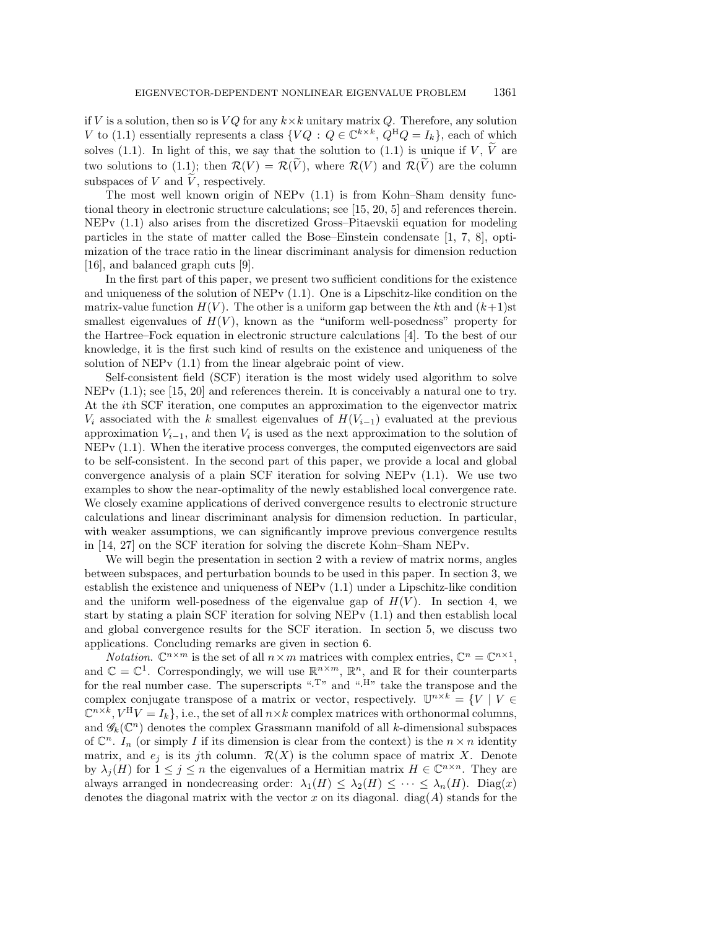if V is a solution, then so is  $VQ$  for any  $k\times k$  unitary matrix Q. Therefore, any solution V to [\(1.1\)](#page-0-0) essentially represents a class  $\{ VQ : Q \in \mathbb C^{k \times k}, Q^HQ = I_k\}$ , each of which solves [\(1.1\)](#page-0-0). In light of this, we say that the solution to (1.1) is unique if V,  $\tilde V$  are two solutions to [\(1.1\)](#page-0-0); then  $\mathcal{R} (V) = \mathcal{R} (\widetilde V)$ , where  $\mathcal{R} (V)$  and  $\mathcal{R} (\widetilde V)$  are the column subspaces of  $V$  and  $V$ , respectively.

The most well known origin of  $NEPy(1.1)$  $NEPy(1.1)$  is from Kohn-Sham density functional theory in electronic structure calculations; see [\[15,](#page-21-0) [20,](#page-21-1) [5\]](#page-21-2) and references therein.  $NEPv(1.1)$  $NEPv(1.1)$  also arises from the discretized Gross-Pitaevskii equation for modeling particles in the state of matter called the Bose--Einstein condensate [\[1,](#page-20-0) [7,](#page-21-3) [8\]](#page-21-4), optimization of the trace ratio in the linear discriminant analysis for dimension reduction [\[16\]](#page-21-5), and balanced graph cuts [\[9\]](#page-21-6).

In the first part of this paper, we present two sufficient conditions for the existence and uniqueness of the solution of NEPv  $(1.1)$ . One is a Lipschitz-like condition on the matrix-value function  $H(V)$ . The other is a uniform gap between the kth and  $(k+1)$ st smallest eigenvalues of  $H(V)$ , known as the "uniform well-posedness" property for the Hartree--Fock equation in electronic structure calculations [\[4\]](#page-21-7). To the best of our knowledge, it is the first such kind of results on the existence and uniqueness of the solution of NEPv [\(1.1\)](#page-0-0) from the linear algebraic point of view.

Self-consistent field (SCF) iteration is the most widely used algorithm to solve NEPv [\(1.1\)](#page-0-0); see [\[15,](#page-21-0) [20\]](#page-21-1) and references therein. It is conceivably a natural one to try. At the ith SCF iteration, one computes an approximation to the eigenvector matrix  $V_i$  associated with the k smallest eigenvalues of  $H(V_{i-1})$  evaluated at the previous approximation  $V_{i-1}$ , and then  $V_i$  is used as the next approximation to the solution of NEPv [\(1.1\)](#page-0-0). When the iterative process converges, the computed eigenvectors are said to be self-consistent. In the second part of this paper, we provide a local and global convergence analysis of a plain SCF iteration for solving NEPv [\(1.1\)](#page-0-0). We use two examples to show the near-optimality of the newly established local convergence rate. We closely examine applications of derived convergence results to electronic structure calculations and linear discriminant analysis for dimension reduction. In particular, with weaker assumptions, we can significantly improve previous convergence results in [\[14,](#page-21-8) [27\]](#page-21-9) on the SCF iteration for solving the discrete Kohn-Sham NEPv.

We will begin the presentation in section [2](#page-2-0) with a review of matrix norms, angles between subspaces, and perturbation bounds to be used in this paper. In section [3,](#page-4-0) we establish the existence and uniqueness of NEPv [\(1.1\)](#page-0-0) under a Lipschitz-like condition and the uniform well-posedness of the eigenvalue gap of  $H(V)$ . In section [4,](#page-6-0) we start by stating a plain SCF iteration for solving NEPv [\(1.1\)](#page-0-0) and then establish local and global convergence results for the SCF iteration. In section [5,](#page-13-0) we discuss two applications. Concluding remarks are given in section [6.](#page-20-1)

*Notation.*  $\mathbb C^{n \times m}$  is the set of all  $n \times m$  matrices with complex entries,  $\mathbb C^n = \mathbb C^{n \times 1}$ , and  $\Bbb C = \Bbb C^1$ . Correspondingly, we will use  $\Bbb R^{n \times m}$ ,  $\Bbb R^n$ , and  $\Bbb R$  for their counterparts for the real number case. The superscripts ".<sup>T</sup>" and ".<sup>H</sup>" take the transpose and the complex conjugate transpose of a matrix or vector, respectively.  $\mathbb{U}^{n \times k} = \{ V | V \in$  $\Bbb C^{n\times \bar k}, V^{\rm H}V = I_k\},$  i.e., the set of all  $n\times k$  complex matrices with orthonormal columns, and  $\mathscr{G}_k(\mathbb C^n)$  denotes the complex Grassmann manifold of all k-dimensional subspaces of  $\mathbb C^n$ . In (or simply I if its dimension is clear from the context) is the  $n \times n$  identity matrix, and  $e_i$  is its jth column.  $\mathcal{R} (X)$  is the column space of matrix X. Denote by  $\lambda_j (H)$  for  $1 \leq j \leq n$  the eigenvalues of a Hermitian matrix  $H \in \Bbb C^{n \times n}$ . They are always arranged in nondecreasing order:  $\lambda_1(H) \leq \lambda_2(H) \leq \cdots \leq \lambda_n(H)$ . Diag(x) denotes the diagonal matrix with the vector  $x$  on its diagonal. diag( $A$ ) stands for the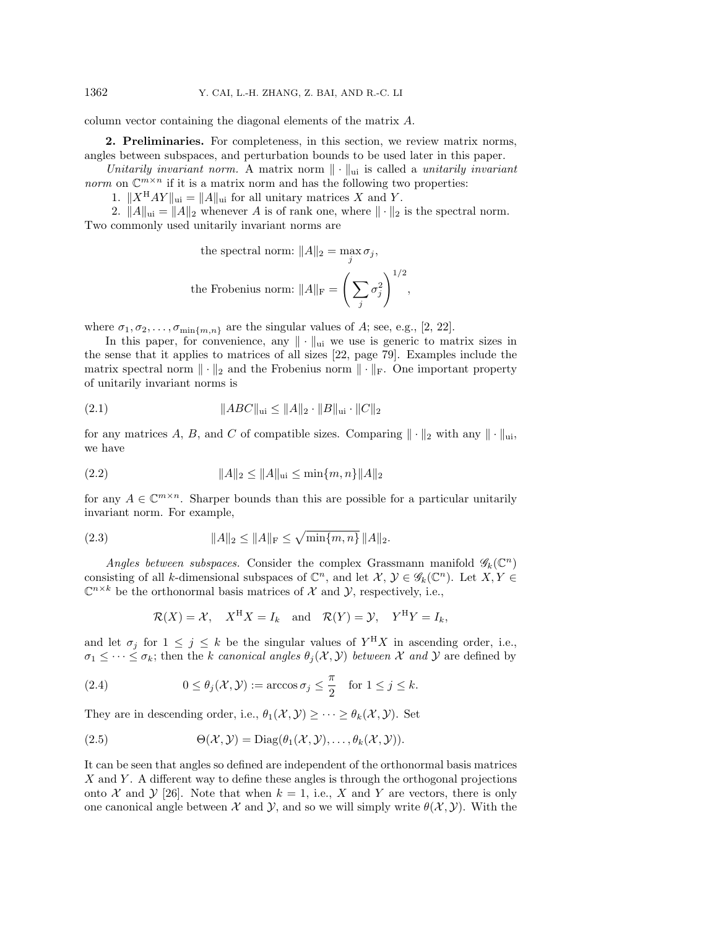column vector containing the diagonal elements of the matrix A.

<span id="page-2-0"></span>2. Preliminaries. For completeness, in this section, we review matrix norms, angles between subspaces, and perturbation bounds to be used later in this paper.

Unitarily invariant norm. A matrix norm  $\| \cdot \|_{\text{ui}}$  is called a unitarily invariant norm on  $\mathbb{C}^{m\times n}$  if it is a matrix norm and has the following two properties:

1.  $\| X^{\mathrm{H}}AY \|_{\mathrm{ui}} = \| A \|_{\mathrm{ui}}$  for all unitary matrices X and Y.

2.  $\|A\|_{\text{ui}} = \|A\|_2$  whenever A is of rank one, where  $\|\cdot \|_2$  is the spectral norm. Two commonly used unitarily invariant norms are

the spectral norm: 
$$
||A||_2 = \max_j \sigma_j
$$
,  
the Frobenius norm:  $||A||_{\text{F}} = \left(\sum_j \sigma_j^2\right)^{1/2}$ ,

where  $\sigma_1, \sigma_2, \ldots, \sigma_{\min\{ m,n\}}$  are the singular values of A; see, e.g., [\[2,](#page-21-10) [22\]](#page-21-11).

In this paper, for convenience, any  $\| \cdot \|_{\text{ui}}$  we use is generic to matrix sizes in the sense that it applies to matrices of all sizes [\[22,](#page-21-11) page 79]. Examples include the matrix spectral norm  $\|\cdot \|_2$  and the Frobenius norm  $\|\cdot \|_F$ . One important property of unitarily invariant norms is

<span id="page-2-2"></span>(2.1) 
$$
||ABC||_{\text{ui}} \le ||A||_2 \cdot ||B||_{\text{ui}} \cdot ||C||_2
$$

for any matrices A, B, and C of compatible sizes. Comparing  $\| \cdot \|_2$  with any  $\| \cdot \|_{\text{ui}}$ , we have

<span id="page-2-1"></span>(2.2) 
$$
||A||_2 \le ||A||_{\text{ui}} \le \min\{m, n\} ||A||_2
$$

for any  $A \in \mathbb C^{m \times n}$ . Sharper bounds than this are possible for a particular unitarily invariant norm. For example,

(2.3) 
$$
||A||_2 \le ||A||_{\mathcal{F}} \le \sqrt{\min\{m, n\}} ||A||_2.
$$

Angles between subspaces. Consider the complex Grassmann manifold  $\mathscr{G}_k(\mathbb C^n)$ consisting of all k-dimensional subspaces of  $\mathbb C^n$ , and let  $\mathcal X, \mathcal Y \in \mathscr G_k(\mathbb C^n)$ . Let  $X, Y \in$  $\Bbb C^{n\times k}$  be the orthonormal basis matrices of X and Y, respectively, i.e.,

$$
\mathcal{R}(X) = \mathcal{X}, \quad X^{\mathrm{H}}X = I_k \quad \text{and} \quad \mathcal{R}(Y) = \mathcal{Y}, \quad Y^{\mathrm{H}}Y = I_k,
$$

and let  $\sigma_j$  for  $1 \leq j \leq k$  be the singular values of  $Y^H X$  in ascending order, i.e.,  $\sigma_1 \leq \cdots \leq \sigma_k$ ; then the k canonical angles  $\theta_j (\mathcal{X}, \mathcal{Y} )$  between X and Y are defined by

(2.4) 
$$
0 \le \theta_j(\mathcal{X}, \mathcal{Y}) := \arccos \sigma_j \le \frac{\pi}{2} \quad \text{for } 1 \le j \le k.
$$

They are in descending order, i.e.,  $\theta_1(\mathcal{X}, \mathcal{Y}) \geq \cdots \geq \theta_k(\mathcal{X}, \mathcal{Y})$ . Set

(2.5) 
$$
\Theta(\mathcal{X}, \mathcal{Y}) = \text{Diag}(\theta_1(\mathcal{X}, \mathcal{Y}), \dots, \theta_k(\mathcal{X}, \mathcal{Y})).
$$

It can be seen that angles so defined are independent of the orthonormal basis matrices  $X$  and  $Y$ . A different way to define these angles is through the orthogonal projections onto X and Y [\[26\]](#page-21-12). Note that when  $k = 1$ , i.e., X and Y are vectors, there is only one canonical angle between  $\mathcal X$  and  $\mathcal Y$ , and so we will simply write  $\theta (\mathcal X, \mathcal Y)$ . With the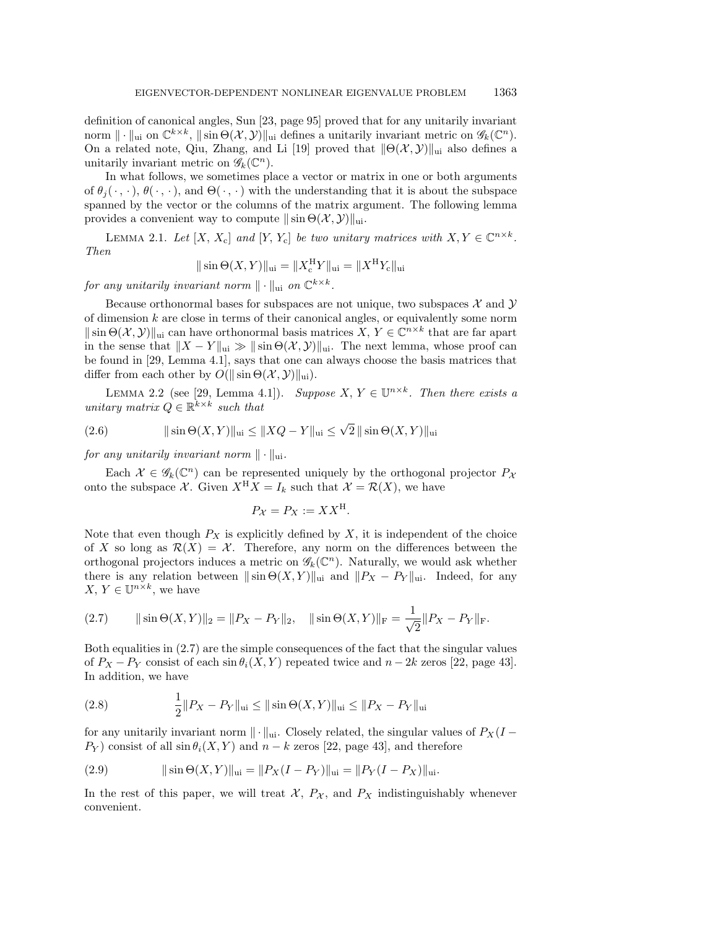definition of canonical angles, Sun [\[23,](#page-21-13) page 95] proved that for any unitarily invariant norm  $\| \cdot \|_{\text{ui}}$  on  $\mathbb{C}^{k \times k}$ ,  $\|\sin \Theta(\mathcal{X}, \mathcal{Y})\|_{\text{ui}}$  defines a unitarily invariant metric on  $\mathscr{G}_k(\mathbb{C}^n)$ . On a related note, Qiu, Zhang, and Li [\[19\]](#page-21-14) proved that  $\| \Theta (\mathcal{X}, \mathcal{Y})\|_{\text{ui}}$  also defines a unitarily invariant metric on  $\mathscr{G}_k(\mathbb{C}^n)$ .

In what follows, we sometimes place a vector or matrix in one or both arguments of  $\theta_i (\cdot , \cdot )$ ,  $\theta (\cdot , \cdot )$ , and  $\Theta (\cdot , \cdot )$  with the understanding that it is about the subspace spanned by the vector or the columns of the matrix argument. The following lemma provides a convenient way to compute  $\|\sin \Theta (\mathcal{X}, \mathcal{Y})\|_{\text{ui}}$ .

<span id="page-3-1"></span>LEMMA 2.1. Let  $[X, X_c]$  and  $[Y, Y_c]$  be two unitary matrices with  $X, Y \in \Bbb C^{n \times k}$ . Then

$$
\|\sin\Theta(X,Y)\|_{\text{ui}} = \|X_{\text{c}}^{\text{H}}Y\|_{\text{ui}} = \|X^{\text{H}}Y_{\text{c}}\|_{\text{ui}}
$$

for any unitarily invariant norm  $\| \cdot \|_{\text{ui}}$  on  $\Bbb C^{k\times k}$ .

Because orthonormal bases for subspaces are not unique, two subspaces  $\mathcal X$  and  $\mathcal Y$ of dimension  $k$  are close in terms of their canonical angles, or equivalently some norm  $\|\sin \Theta (\mathcal X , \mathcal Y )\|_{\text{ui}}$  can have orthonormal basis matrices  $X, Y \in \Bbb C^{n \times k}$  that are far apart in the sense that  $\| X - Y \|_{\text{ui}} \gg \| \sin \Theta (\mathcal{X}, \mathcal{Y}) \|_{\text{ui}}$ . The next lemma, whose proof can be found in [\[29,](#page-22-0) Lemma 4.1], says that one can always choose the basis matrices that differ from each other by  $O(\|\sin \Theta (\mathcal{X}, \mathcal{Y})\|_{\text{ui}}).$ 

LEMMA 2.2 (see [\[29,](#page-22-0) Lemma 4.1]). Suppose  $X, Y \in \mathbb{U}^{n \times k}$ . Then there exists a unitary matrix  $Q \in \mathbb{R}^{k \times k}$  such that

(2.6) 
$$
\|\sin \Theta(X, Y)\|_{\text{ui}} \le \|XQ - Y\|_{\text{ui}} \le \sqrt{2} \|\sin \Theta(X, Y)\|_{\text{ui}}
$$

for any unitarily invariant norm  $\|\cdot \|_{\text{ui}}$ .

Each  $\mathcal X \in \mathscr G_k(\mathbb C^n)$  can be represented uniquely by the orthogonal projector  $P_\mathcal X$ onto the subspace X. Given  $X^H X = I_k$  such that  $\mathcal{X} = \mathcal{R} (X)$ , we have

$$
P_{\mathcal{X}} = P_X := XX^{\mathcal{H}}.
$$

Note that even though  $P_X$  is explicitly defined by X, it is independent of the choice of X so long as  $\mathcal{R} (X) = \mathcal{X}$ . Therefore, any norm on the differences between the orthogonal projectors induces a metric on  $\mathscr{G}_k(\mathbb C^n)$ . Naturally, we would ask whether there is any relation between  $\|\sin \Theta (X, Y )\|_{\text{ui}}$  and  $\| P_X - P_Y \|_{\text{ui}}$ . Indeed, for any  $X, Y \in \mathbb{U}^{n \times k}$ , we have

<span id="page-3-0"></span>(2.7) 
$$
\|\sin\Theta(X,Y)\|_2 = \|P_X - P_Y\|_2, \quad \|\sin\Theta(X,Y)\|_{\mathcal{F}} = \frac{1}{\sqrt{2}}\|P_X - P_Y\|_{\mathcal{F}}.
$$

Both equalities in [\(2.7\)](#page-3-0) are the simple consequences of the fact that the singular values of  $P_X - P_Y$  consist of each sin  $\theta_i(X, Y)$  repeated twice and  $n - 2k$  zeros [\[22,](#page-21-11) page 43]. In addition, we have

<span id="page-3-2"></span>(2.8) 
$$
\frac{1}{2}||P_X - P_Y||_{\text{ui}} \le ||\sin \Theta(X, Y)||_{\text{ui}} \le ||P_X - P_Y||_{\text{ui}}
$$

for any unitarily invariant norm  $\| \cdot \|_{\text{ui}}$ . Closely related, the singular values of  $P_X(I P_Y$  consist of all  $\sin \theta_i(X, Y)$  and  $n - k$  zeros [\[22,](#page-21-11) page 43], and therefore

(2.9) 
$$
\|\sin \Theta(X, Y)\|_{\text{ui}} = \|P_X(I - P_Y)\|_{\text{ui}} = \|P_Y(I - P_X)\|_{\text{ui}}.
$$

In the rest of this paper, we will treat  $\mathcal{X}$ ,  $P_{\mathcal{X}}$ , and  $P_{\mathcal{X}}$  indistinguishably whenever convenient.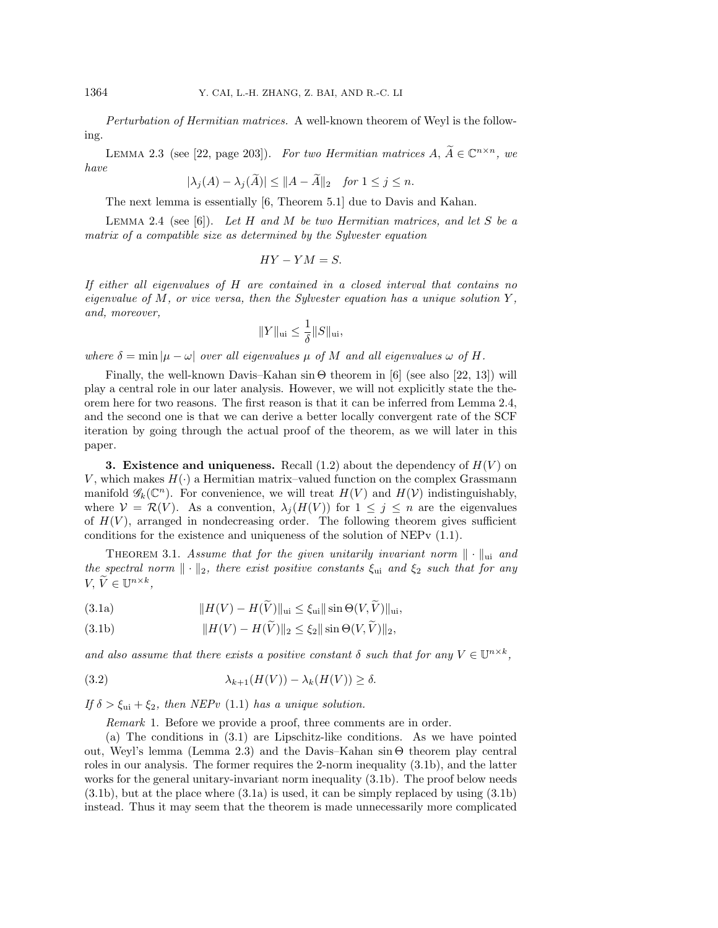<span id="page-4-3"></span>Perturbation of Hermitian matrices. A well-known theorem of Weyl is the following.

LEMMA 2.3 (see [\[22,](#page-21-11) page 203]). For two Hermitian matrices  $A, \widetilde{A} \in \mathbb C^{n \times n}$ , we have

$$
|\lambda_j(A) - \lambda_j(A)| \le ||A - A||_2 \quad \text{for } 1 \le j \le n.
$$

The next lemma is essentially [\[6,](#page-21-15) Theorem 5.1] due to Davis and Kahan.

<span id="page-4-1"></span>LEMMA 2.4 (see [\[6\]](#page-21-15)). Let H and M be two Hermitian matrices, and let S be a matrix of a compatible size as determined by the Sylvester equation

$$
HY-YM=S.
$$

If either all eigenvalues of H are contained in a closed interval that contains no eigenvalue of  $M$ , or vice versa, then the Sylvester equation has a unique solution  $Y$ , and, moreover,

$$
||Y||_{\text{ui}} \leq \frac{1}{\delta} ||S||_{\text{ui}},
$$

where  $\delta = \min | \mu - \omega |$  over all eigenvalues  $\mu$  of M and all eigenvalues  $\omega$  of H.

Finally, the well-known Davis-Kahan  $\sin \Theta$  theorem in [\[6\]](#page-21-15) (see also [\[22,](#page-21-11) [13\]](#page-21-16)) will play a central role in our later analysis. However, we will not explicitly state the theorem here for two reasons. The first reason is that it can be inferred from Lemma [2.4,](#page-4-1) and the second one is that we can derive a better locally convergent rate of the SCF iteration by going through the actual proof of the theorem, as we will later in this paper.

<span id="page-4-0"></span>**3. Existence and uniqueness.** Recall  $(1.2)$  about the dependency of  $H(V)$  on V, which makes  $H(\cdot)$  a Hermitian matrix-valued function on the complex Grassmann manifold  $\mathscr{G}_k(\mathbb C^n)$ . For convenience, we will treat  $H(V)$  and  $H(\mathcal V)$  indistinguishably, where  $V = \mathcal{R}(V)$ . As a convention,  $\lambda_j (H(V))$  for  $1 \leq j \leq n$  are the eigenvalues of  $H(V)$ , arranged in nondecreasing order. The following theorem gives sufficient conditions for the existence and uniqueness of the solution of NEPv [\(1.1\)](#page-0-0).

<span id="page-4-7"></span><span id="page-4-2"></span>THEOREM 3.1. Assume that for the given unitarily invariant norm  $\|\cdot \|_{\text{ui}}$  and the spectral norm  $\|\cdot \|_2$ , there exist positive constants  $\xi_{\rm ui}$  and  $\xi_2$  such that for any  $V, \, \widetilde V \in \mathbb{U}^{n \times k},$ 

<span id="page-4-5"></span>(3.1a) 
$$
||H(V) - H(\tilde{V})||_{\text{ui}} \leq \xi_{\text{ui}} || \sin \Theta(V, \tilde{V})||_{\text{ui}},
$$

<span id="page-4-4"></span>(3.1b) 
$$
||H(V) - H(\tilde{V})||_2 \le \xi_2 ||\sin \Theta(V, \tilde{V})||_2,
$$

and also assume that there exists a positive constant  $\delta$  such that for any  $V \in \mathbb{U}^{n \times k}$ ,

<span id="page-4-6"></span>(3.2) 
$$
\lambda_{k+1}(H(V)) - \lambda_k(H(V)) \ge \delta.
$$

If  $\delta > \xi_{\text{ui}} + \xi_2$ , then NEPv [\(1.1\)](#page-0-0) has a unique solution.

Remark 1. Before we provide a proof, three comments are in order.

(a) The conditions in [\(3.1\)](#page-4-2) are Lipschitz-like conditions. As we have pointed out, Weyl's lemma (Lemma [2.3\)](#page-4-3) and the Davis-Kahan  $\sin \Theta$  theorem play central roles in our analysis. The former requires the 2-norm inequality  $(3.1b)$ , and the latter works for the general unitary-invariant norm inequality [\(3.1b\)](#page-4-4). The proof below needs [\(3.1b\)](#page-4-4), but at the place where [\(3.1a\)](#page-4-5) is used, it can be simply replaced by using [\(3.1b\)](#page-4-4) instead. Thus it may seem that the theorem is made unnecessarily more complicated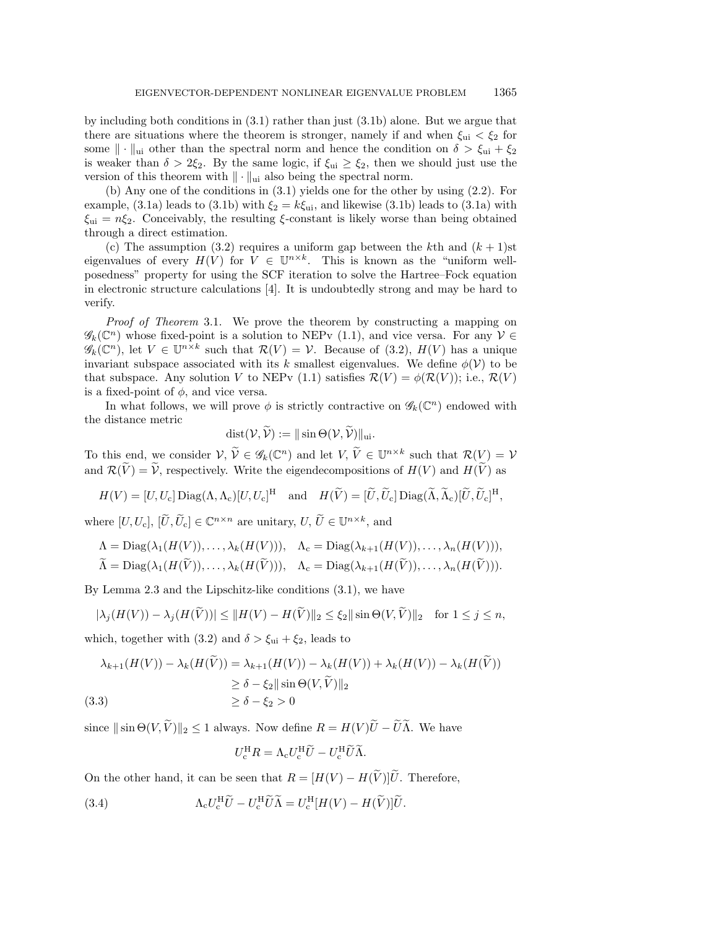by including both conditions in [\(3.1\)](#page-4-2) rather than just [\(3.1b\)](#page-4-4) alone. But we argue that there are situations where the theorem is stronger, namely if and when  $\xi_{ui} < \xi_2$  for some  $\| \cdot \|_{\text{ui}}$  other than the spectral norm and hence the condition on  $\delta > \xi_{\text{ui}} + \xi_2$ is weaker than  $\delta > 2\xi_2$ . By the same logic, if  $\zeta_{ui} \geq \zeta_2$ , then we should just use the version of this theorem with  $\| \cdot \|_{\text{ui}}$  also being the spectral norm.

(b) Any one of the conditions in [\(3.1\)](#page-4-2) yields one for the other by using [\(2.2\)](#page-2-1). For example, [\(3.1a\)](#page-4-5) leads to [\(3.1b\)](#page-4-4) with  $\xi_2 = k\xi_{\rm ui}$ , and likewise (3.1b) leads to (3.1a) with  $\xi_{\rm ui} = n\xi_2$ . Conceivably, the resulting  $\xi$ -constant is likely worse than being obtained through a direct estimation.

(c) The assumption [\(3.2\)](#page-4-6) requires a uniform gap between the kth and  $(k+1)$ st eigenvalues of every  $H(V)$  for  $V \in \mathbb{U}^{n \times k}$ . This is known as the "uniform wellposedness"" property for using the SCF iteration to solve the Hartree--Fock equation in electronic structure calculations [\[4\]](#page-21-7). It is undoubtedly strong and may be hard to verify.

Proof of Theorem [3.1.](#page-4-7) We prove the theorem by constructing a mapping on  $\mathscr{G}_k(\mathbb C^n)$  whose fixed-point is a solution to NEPv [\(1.1\)](#page-0-0), and vice versa. For any  $\mathcal{V} \in$  $\mathscr{G}_k(\mathbb C^n)$ , let  $V \in \mathbb U^{n \times k}$  such that  $\mathcal R (V) = \mathcal V$ . Because of [\(3.2\)](#page-4-6),  $H(V)$  has a unique invariant subspace associated with its k smallest eigenvalues. We define  $\phi(\mathcal{V})$  to be that subspace. Any solution V to NEPv [\(1.1\)](#page-0-0) satisfies  $\mathcal{R} (V) = \phi (\mathcal{R} (V ))$ ; i.e.,  $\mathcal{R} (V )$ is a fixed-point of  $\phi$ , and vice versa.

In what follows, we will prove  $\phi$  is strictly contractive on  $\mathscr{G}_k(\mathbb C^n)$  endowed with the distance metric

$$
dist(\mathcal{V}, \mathcal{V}) := || \sin \Theta(\mathcal{V}, \mathcal{V}) ||_{\text{ui}}.
$$

To this end, we consider  $V, \widetilde V \in \mathscr{G}_k(\Bbb C^n)$  and let  $V, \widetilde V \in \Bbb U^{n \times k}$  such that  $\mathcal{R}(V) = V$ and  $\mathcal R (\widetilde V) = \widetilde V$ , respectively. Write the eigendecompositions of  $H(V)$  and  $H(\widetilde V)$  as

$$
H(V) = [U, U_c] \operatorname{Diag}(\Lambda, \Lambda_c)[U, U_c]^{\mathrm{H}} \quad \text{and} \quad H(\widetilde{V}) = [\widetilde{U}, \widetilde{U}_c] \operatorname{Diag}(\widetilde{\Lambda}, \widetilde{\Lambda}_c)[\widetilde{U}, \widetilde{U}_c]^{\mathrm{H}},
$$

where  $[U, U_c]$ ,  $[\tilde U, \tilde U_c] \in \mathbb C^{n \times n}$  are unitary,  $U, \tilde U \in \mathbb U^{n \times k}$ , and

$$
\Lambda = \text{Diag}(\lambda_1(H(V)), \dots, \lambda_k(H(V))), \quad \Lambda_c = \text{Diag}(\lambda_{k+1}(H(V)), \dots, \lambda_n(H(V))),
$$

$$
\Lambda = \text{Diag}(\lambda_1(H(V)), \ldots, \lambda_k(H(V))), \quad \Lambda_c = \text{Diag}(\lambda_{k+1}(H(V)), \ldots, \lambda_n(H(V))).
$$

By Lemma [2.3](#page-4-3) and the Lipschitz-like conditions [\(3.1\)](#page-4-2), we have

$$
|\lambda_j(H(V)) - \lambda_j(H(\widetilde{V}))| \le ||H(V) - H(\widetilde{V})||_2 \le \xi_2 ||\sin\Theta(V, \widetilde{V})||_2 \quad \text{for } 1 \le j \le n,
$$

which, together with [\(3.2\)](#page-4-6) and  $\delta > \xi_{ui} + \xi_2$ , leads to

<span id="page-5-1"></span>
$$
\lambda_{k+1}(H(V)) - \lambda_k(H(\tilde{V})) = \lambda_{k+1}(H(V)) - \lambda_k(H(V)) + \lambda_k(H(V)) - \lambda_k(H(\tilde{V}))
$$
  
\n
$$
\geq \delta - \xi_2 ||\sin \Theta(V, \tilde{V})||_2
$$
  
\n(3.3)  
\n
$$
\geq \delta - \xi_2 > 0
$$

since  $\|\sin \Theta (V, \widetilde V)\|_2 \leq 1$  always. Now define  $R = H(V)U\widetilde U-\widetilde U\widetilde \Lambda$ . We have

$$
U_{\rm c}^{\rm H}R = \Lambda_{\rm c} U_{\rm c}^{\rm H} \widetilde{U} - U_{\rm c}^{\rm H} \widetilde{U} \widetilde{\Lambda}.
$$

On the other hand, it can be seen that  $R = [H(V) - H(\tilde{V})]\tilde{U}$ . Therefore,

<span id="page-5-0"></span>(3.4) 
$$
\Lambda_{\rm c} U_{\rm c}^{\rm H} \widetilde{U} - U_{\rm c}^{\rm H} \widetilde{U} \widetilde{\Lambda} = U_{\rm c}^{\rm H} [H(V) - H(\widetilde{V})] \widetilde{U}.
$$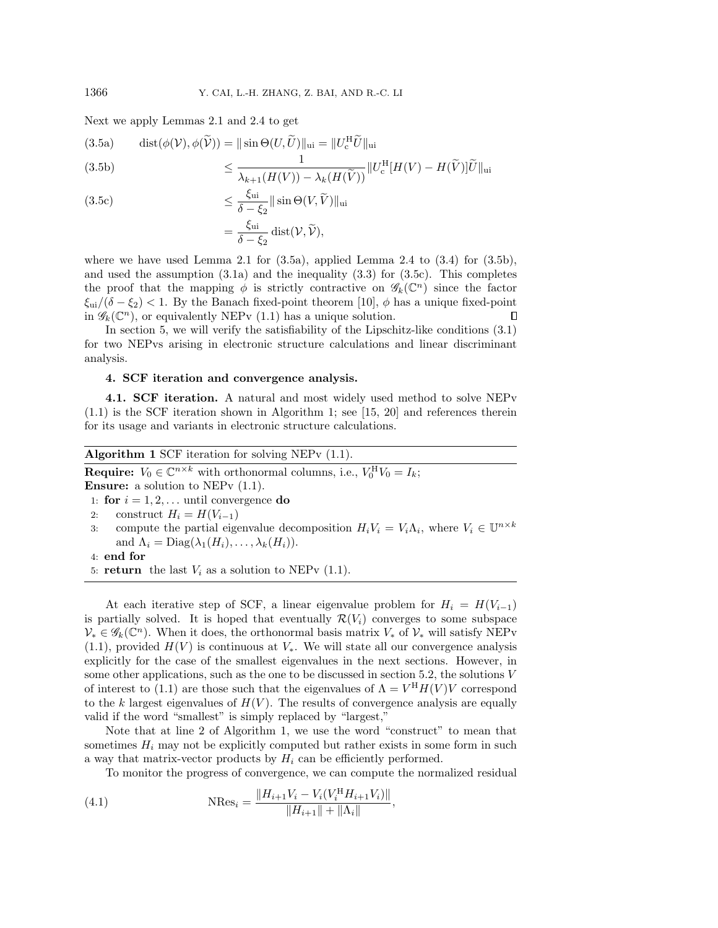Next we apply Lemmas [2.1](#page-3-1) and [2.4](#page-4-1) to get

<span id="page-6-2"></span><span id="page-6-1"></span>(3.5a) 
$$
\text{dist}(\phi(\mathcal{V}), \phi(\widetilde{\mathcal{V}})) = \|\sin \Theta(U, \widetilde{U})\|_{\text{ui}} = \|U_{\text{c}}^{\text{H}} \widetilde{U}\|_{\text{ui}}
$$

$$
\leq \frac{1}{\lambda_{k+1}(H(V)) - \lambda_{k}(H(\widetilde{V}))} \|U_{\text{c}}^{\text{H}}[H(V) - H(\widetilde{V})]\widetilde{U}\|_{\text{ui}}
$$

<span id="page-6-3"></span>(3.5c)  
\n
$$
\leq \frac{\xi_{\text{ui}}}{\delta - \xi_2} || \sin \Theta(V, \widetilde{V}) ||_{\text{ui}}
$$
\n
$$
= \frac{\xi_{\text{ui}}}{\delta - \xi_2} \operatorname{dist}(V, \widetilde{V}),
$$

where we have used Lemma [2.1](#page-3-1) for  $(3.5a)$ , applied Lemma [2.4](#page-4-1) to  $(3.4)$  for  $(3.5b)$ , and used the assumption  $(3.1a)$  and the inequality  $(3.3)$  for  $(3.5c)$ . This completes the proof that the mapping  $\phi$  is strictly contractive on  $\mathscr{G}_k(\mathbb C^n)$  since the factor  $\xi_{\rm ui}/(\delta - \xi_2) < 1$ . By the Banach fixed-point theorem [\[10\]](#page-21-17),  $\phi$  has a unique fixed-point in  $\mathscr{G}_k(\mathbb C^n)$ , or equivalently NEPv [\(1.1\)](#page-0-0) has a unique solution. П

In section [5,](#page-13-0) we will verify the satisfiability of the Lipschitz-like conditions [\(3.1\)](#page-4-2) for two NEPvs arising in electronic structure calculations and linear discriminant analysis.

## <span id="page-6-0"></span>4. SCF iteration and convergence analysis.

4.1. SCF iteration. A natural and most widely used method to solve NEPv [\(1.1\)](#page-0-0) is the SCF iteration shown in Algorithm [1;](#page-6-4) see [\[15,](#page-21-0) [20\]](#page-21-1) and references therein for its usage and variants in electronic structure calculations.

<span id="page-6-4"></span>\n- **Algorithm 1** SCF iteration for solving NEPv (1.1).
\n- **Required**: 
$$
V_0 \in \mathbb{C}^{n \times k}
$$
 with orthonormal columns, i.e.,  $V_0^H V_0 = I_k$ ;
\n- **Answer:** a solution to NEPv (1.1).
\n- **1: for**  $i = 1, 2, \ldots$  until convergence **do**
\n- **2:** construct  $H_i = H(V_{i-1})$
\n- **3:** compute the partial eigenvalue decomposition  $H_i V_i = V_i \Lambda_i$ , where  $V_i \in \mathbb{U}^{n \times k}$
\n

and  $\Lambda_i = \text{Diag}(\lambda_1(H_i), \ldots, \lambda_k(H_i)).$ 

4: end for

5: return the last  $V_i$  as a solution to NEPv [\(1.1\)](#page-0-0).

At each iterative step of SCF, a linear eigenvalue problem for  $H_i = H(V_{i-1})$ is partially solved. It is hoped that eventually  $\mathcal{R} (V_i)$  converges to some subspace  $\mathcal V_* \in \mathscr G_k(\mathbb C^n)$ . When it does, the orthonormal basis matrix  $V_*$  of  $\mathcal V_*$  will satisfy NEPv  $(1.1)$ , provided  $H(V)$  is continuous at  $V_*$ . We will state all our convergence analysis explicitly for the case of the smallest eigenvalues in the next sections. However, in some other applications, such as the one to be discussed in section [5.2,](#page-17-0) the solutions V of interest to [\(1.1\)](#page-0-0) are those such that the eigenvalues of  $\Lambda = V^H H(V) V$  correspond to the k largest eigenvalues of  $H(V)$ . The results of convergence analysis are equally valid if the word "smallest" is simply replaced by "largest,"

Note that at line  $2$  of Algorithm [1,](#page-6-4) we use the word "construct" to mean that sometimes  $H_i$  may not be explicitly computed but rather exists in some form in such a way that matrix-vector products by  $H_i$  can be efficiently performed.

<span id="page-6-5"></span>To monitor the progress of convergence, we can compute the normalized residual

(4.1) 
$$
\text{NRes}_{i} = \frac{\|H_{i+1}V_{i} - V_{i}(V_{i}^{H}H_{i+1}V_{i})\|}{\|H_{i+1}\| + \|A_{i}\|},
$$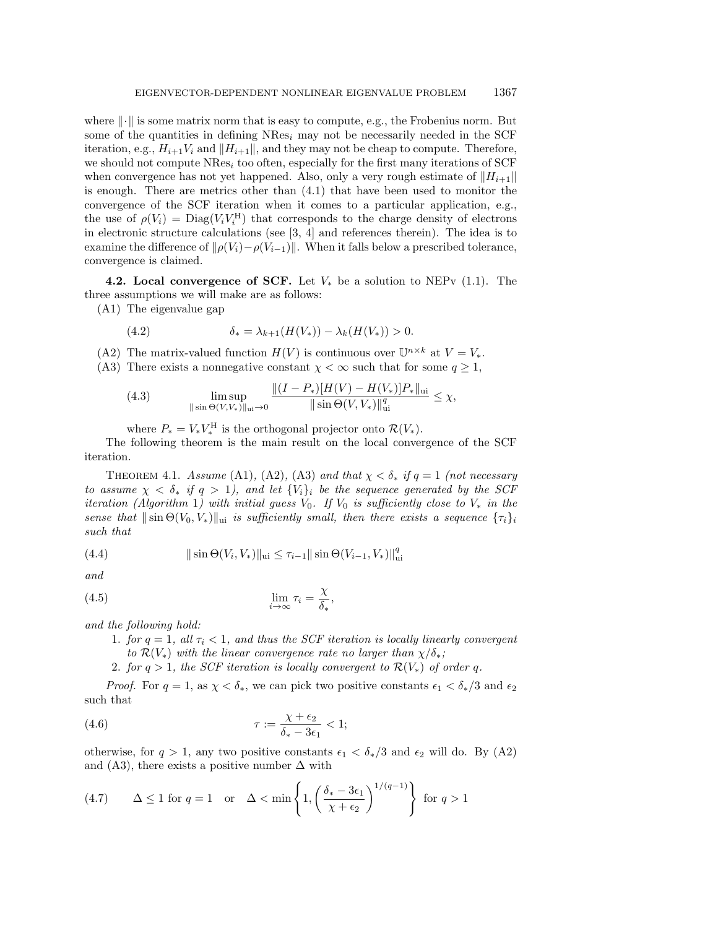where  $\| \cdot \|$  is some matrix norm that is easy to compute, e.g., the Frobenius norm. But some of the quantities in defining  $NRes_i$  may not be necessarily needed in the SCF iteration, e.g.,  $H_{i+1}V_i$  and  $\| H_{i+1}\|$ , and they may not be cheap to compute. Therefore, we should not compute  $NRes_i$  too often, especially for the first many iterations of SCF when convergence has not yet happened. Also, only a very rough estimate of  $\| H_{i+1}\|$ is enough. There are metrics other than [\(4.1\)](#page-6-5) that have been used to monitor the convergence of the SCF iteration when it comes to a particular application, e.g., the use of  $\rho (V_i) = \text{Diag}(V_i V_i^{\text{H}})$  that corresponds to the charge density of electrons in electronic structure calculations (see [\[3,](#page-21-18) [4\]](#page-21-7) and references therein). The idea is to examine the difference of  $\| \rho (V_i) - \rho (V_{i-1})\|$ . When it falls below a prescribed tolerance, convergence is claimed.

<span id="page-7-5"></span>4.2. Local convergence of SCF. Let  $V_*$  be a solution to NEPv [\(1.1\)](#page-0-0). The three assumptions we will make are as follows:

(A1) The eigenvalue gap

(4.2) 
$$
\delta_* = \lambda_{k+1}(H(V_*)) - \lambda_k(H(V_*)) > 0.
$$

- (A2) The matrix-valued function  $H(V)$  is continuous over  $\mathbb{U}^{n\times k}$  at  $V = V_*$ .
- (A3) There exists a nonnegative constant  $\chi < \infty$  such that for some  $q \geq 1$ ,

<span id="page-7-4"></span>(4.3) 
$$
\limsup_{\|\sin \Theta(V,V_*)\|_{\text{ui}} \to 0} \frac{\|(I - P_*)[H(V) - H(V_*)]P_*\|_{\text{ui}}}{\|\sin \Theta(V,V_*)\|_{\text{ui}}^q} \leq \chi,
$$

where  $P_* = V_* V_*^{\rm H}$  is the orthogonal projector onto  $\mathcal{R} (V_*)$ .

The following theorem is the main result on the local convergence of the SCF iteration.

<span id="page-7-3"></span>THEOREM 4.1. Assume (A1), (A2), (A3) and that  $\chi < \delta_*$  if  $q = 1$  (not necessary to assume  $\chi < \delta_*$  if  $q > 1$ ), and let  $\{ V_i\}_i$  be the sequence generated by the SCF iteration (Algorithm [1](#page-6-4)) with initial guess  $V_0$ . If  $V_0$  is sufficiently close to  $V_*$  in the sense that  $\|\sin \Theta (V_0, V_*)\|_{\text{ui}}$  is sufficiently small, then there exists a sequence  $\{ \tau_i\}_i$ such that

<span id="page-7-2"></span>(4.4) 
$$
\|\sin\Theta(V_i,V_*)\|_{\text{ui}} \leq \tau_{i-1} \|\sin\Theta(V_{i-1},V_*)\|_{\text{ui}}^q
$$

and

(4.5) 
$$
\lim_{i \to \infty} \tau_i = \frac{\chi}{\delta_*},
$$

and the following hold:

- 1. for  $q = 1$ , all  $\tau_i < 1$ , and thus the SCF iteration is locally linearly convergent to  $\mathcal{R} (V_*)$  with the linear convergence rate no larger than  $\chi / \delta _*$ ;
- <span id="page-7-0"></span>2. for  $q > 1$ , the SCF iteration is locally convergent to  $\mathcal{R} (V_\ast )$  of order q.

*Proof.* For  $q = 1$ , as  $\chi < \delta_*$ , we can pick two positive constants  $\epsilon_1 < \delta_* / 3$  and  $\epsilon_2$ such that

(4.6) 
$$
\tau := \frac{\chi + \epsilon_2}{\delta_* - 3\epsilon_1} < 1;
$$

otherwise, for  $q > 1$ , any two positive constants  $\epsilon_1 < \delta_*/3$  and  $\epsilon_2$  will do. By (A2) and (A3), there exists a positive number  $\Delta$  with

<span id="page-7-1"></span>(4.7) 
$$
\Delta \le 1
$$
 for  $q = 1$  or  $\Delta < \min \left\{ 1, \left( \frac{\delta_* - 3\epsilon_1}{\chi + \epsilon_2} \right)^{1/(q-1)} \right\}$  for  $q > 1$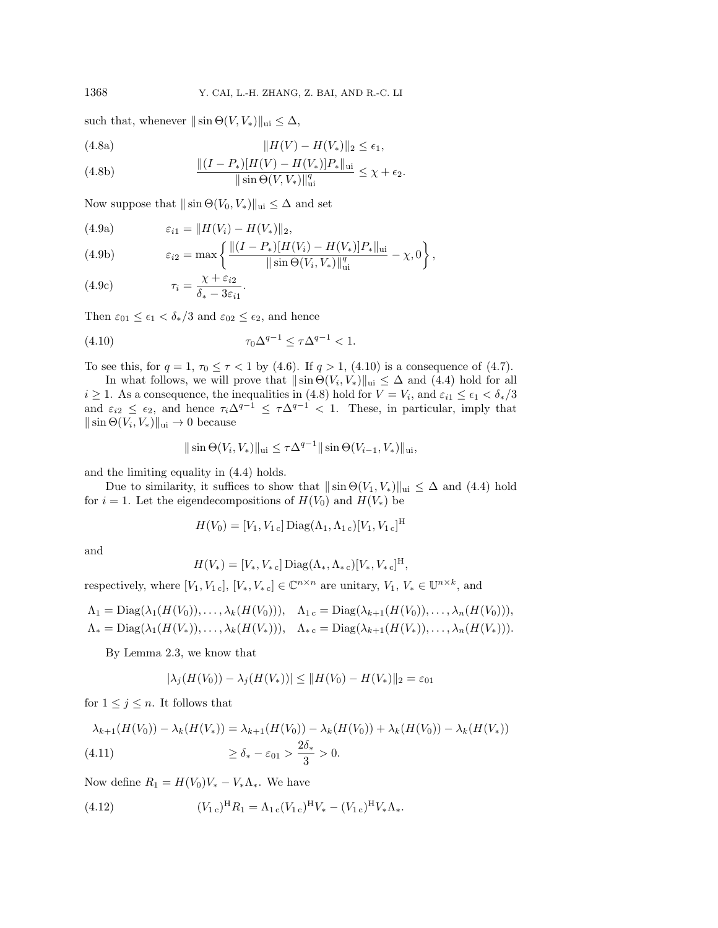such that, whenever  $\|\sin \Theta (V, V_*)\|_{\text{ui}} \leq \Delta ,$ 

(4.8a) 
$$
||H(V) - H(V_*)||_2 \le \epsilon_1,
$$

(4.8b) 
$$
\frac{\|(I - P_*)(H(V) - H(V_*)|P_*\|_{\text{ui}}}{\|\sin \Theta(V, V_*)\|_{\text{ui}}^q} \leq \chi + \epsilon_2.
$$

Now suppose that  $\|\sin \Theta (V_0, V_*)\|_{\text{ui}} \leq \Delta$  and set

(4.9a) 
$$
\varepsilon_{i1} = ||H(V_i) - H(V_*)||_2,
$$

(4.9b) 
$$
\varepsilon_{i2} = \max \left\{ \frac{\| (I - P_*) [H(V_i) - H(V_*)] P_* \|_{\text{ui}}}{\| \sin \Theta(V_i, V_*) \|_{\text{ui}}^q} - \chi, 0 \right\},
$$

(4.9c) 
$$
\tau_i = \frac{\chi + \varepsilon_{i2}}{\delta_* - 3\varepsilon_{i1}}.
$$

Then  $\varepsilon_{01} \leq \epsilon_1 < \delta_*/3$  and  $\varepsilon_{02} \leq \epsilon_2$ , and hence

(4.10) 
$$
\tau_0 \Delta^{q-1} \le \tau \Delta^{q-1} < 1.
$$

To see this, for  $q = 1, \tau_0 \leq \tau < 1$  by [\(4.6\)](#page-7-0). If  $q > 1$ , [\(4.10\)](#page-8-0) is a consequence of [\(4.7\)](#page-7-1).

In what follows, we will prove that  $\|\sin \Theta (V_i, V_*)\|_{\text{ui}} \leq \Delta$  and [\(4.4\)](#page-7-2) hold for all  $i \geq 1$ . As a consequence, the inequalities in [\(4.8\)](#page-8-1) hold for  $V = V_i$ , and  $\varepsilon_{i1} \leq \epsilon_1 < \delta_*/3$ and  $\varepsilon_{i2} \leq \varepsilon_2$ , and hence  $\tau_i \Delta^{q-1} \leq \tau \Delta^{q-1} < 1$ . These, in particular, imply that  $\|\sin \Theta (V_i, V_*)\|_{\text{ui}} \rightarrow 0$  because

<span id="page-8-0"></span>
$$
\|\sin\Theta(V_i, V_*)\|_{\text{ui}} \le \tau \Delta^{q-1} \|\sin\Theta(V_{i-1}, V_*)\|_{\text{ui}},
$$

and the limiting equality in [\(4.4\)](#page-7-2) holds.

Due to similarity, it suffices to show that  $\|\sin \Theta (V_1, V_*)\|_{\text{ui}} \leq \Delta$  and [\(4.4\)](#page-7-2) hold for  $i = 1$ . Let the eigendecompositions of  $H(V_0)$  and  $H(V_*)$  be

$$
H(V_0) = [V_1, V_{1c}] \operatorname{Diag}(\Lambda_1, \Lambda_{1c})[V_1, V_{1c}]^{\mathrm{H}}
$$

and

$$
H(V_*) = [V_*, V_*\,\mathrm{c}]\operatorname{Diag}(\Lambda_*, \Lambda_*\,\mathrm{c})[V_*, V_*\,\mathrm{c}]^{\mathrm{H}},
$$

respectively, where  $[V_1, V_{1 \text{ c}}], [V_*, V_*] \in \Bbb C^{n \times n}$  are unitary,  $V_1, V_* \in \Bbb U^{n \times k}$ , and

$$
\Lambda_1 = \text{Diag}(\lambda_1(H(V_0)), \dots, \lambda_k(H(V_0))), \quad \Lambda_{1c} = \text{Diag}(\lambda_{k+1}(H(V_0)), \dots, \lambda_n(H(V_0))),
$$
  

$$
\Lambda_* = \text{Diag}(\lambda_1(H(V_*)), \dots, \lambda_k(H(V_*))), \quad \Lambda_{*\,c} = \text{Diag}(\lambda_{k+1}(H(V_*)), \dots, \lambda_n(H(V_*))).
$$

By Lemma [2.3,](#page-4-3) we know that

$$
|\lambda_j(H(V_0)) - \lambda_j(H(V_*))| \le ||H(V_0) - H(V_*)||_2 = \varepsilon_{01}
$$

for  $1 \leq j \leq n$ . It follows that

$$
\lambda_{k+1}(H(V_0)) - \lambda_k(H(V_*)) = \lambda_{k+1}(H(V_0)) - \lambda_k(H(V_0)) + \lambda_k(H(V_0)) - \lambda_k(H(V_*))
$$
  
(4.11) 
$$
\ge \delta_* - \varepsilon_{01} > \frac{2\delta_*}{3} > 0.
$$

Now define  $R_1 = H(V_0)V_* - V_* \Lambda_*$ . We have

(4.12) 
$$
(V_{1c})^{\mathrm{H}}R_1 = \Lambda_{1c}(V_{1c})^{\mathrm{H}}V_* - (V_{1c})^{\mathrm{H}}V_*\Lambda_*.
$$

<span id="page-8-1"></span>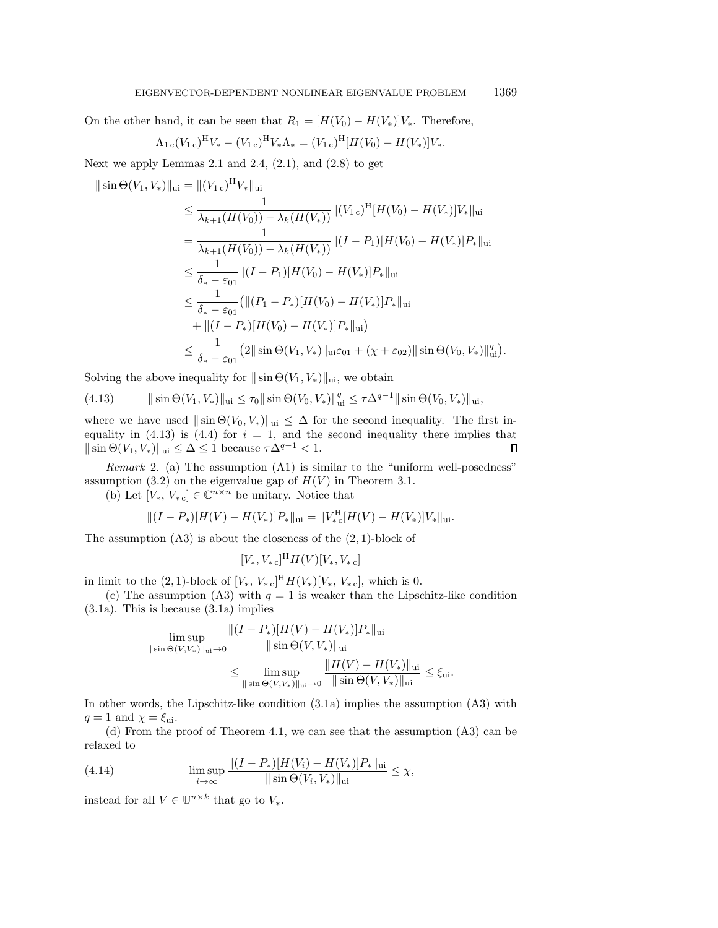On the other hand, it can be seen that  $R_1 = [H(V_0) - H(V_*)]V_*$ . Therefore,

$$
\Lambda_{1\,c}(V_{1\,c})^{\rm H}V_{\ast} - (V_{1\,c})^{\rm H}V_{\ast}\Lambda_{\ast} = (V_{1\,c})^{\rm H}[H(V_0) - H(V_{\ast})]V_{\ast}.
$$

Next we apply Lemmas [2.1](#page-3-1) and [2.4,](#page-4-1)  $(2.1)$ , and  $(2.8)$  to get

$$
\|\sin\Theta(V_1, V_*)\|_{\text{ui}} = \|(V_{1c})^H V_*\|_{\text{ui}}
$$
  
\n
$$
\leq \frac{1}{\lambda_{k+1}(H(V_0)) - \lambda_k(H(V_*))} \|(V_{1c})^H [H(V_0) - H(V_*)] V_*\|_{\text{ui}}
$$
  
\n
$$
= \frac{1}{\lambda_{k+1}(H(V_0)) - \lambda_k(H(V_*))} \|(I - P_1)[H(V_0) - H(V_*)] P_*\|_{\text{ui}}
$$
  
\n
$$
\leq \frac{1}{\delta_* - \varepsilon_{01}} \|(I - P_1)[H(V_0) - H(V_*)] P_*\|_{\text{ui}}
$$
  
\n
$$
\leq \frac{1}{\delta_* - \varepsilon_{01}} (\|(P_1 - P_*)[H(V_0) - H(V_*)] P_*\|_{\text{ui}})
$$
  
\n
$$
+ \|(I - P_*)[H(V_0) - H(V_*)] P_*\|_{\text{ui}})
$$
  
\n
$$
\leq \frac{1}{\delta_* - \varepsilon_{01}} (2 \|\sin\Theta(V_1, V_*)\|_{\text{ui}} \varepsilon_{01} + (\chi + \varepsilon_{02}) \|\sin\Theta(V_0, V_*)\|_{\text{ui}}^q)
$$

Solving the above inequality for  $\|\sin \Theta (V_1, V_*)\|_{\text{ui}}$ , we obtain

<span id="page-9-0"></span>(4.13) 
$$
\|\sin\Theta(V_1,V_*)\|_{\text{ui}} \leq \tau_0 \|\sin\Theta(V_0,V_*)\|_{\text{ui}}^q \leq \tau \Delta^{q-1} \|\sin\Theta(V_0,V_*)\|_{\text{ui}},
$$

where we have used  $\|\sin \Theta (V_0, V_*)\|_{\text{ui}} \leq \Delta$  for the second inequality. The first in-equality in [\(4.13\)](#page-9-0) is [\(4.4\)](#page-7-2) for  $i = 1$ , and the second inequality there implies that  $\| \sin \Theta (V_1, V_*) \|_{\text{ui}} \leq \Delta \leq 1$  because  $\tau \Delta^{q-1} < 1$ .  $\Box$ 

*Remark* 2. (a) The assumption  $(A1)$  is similar to the "uniform well-posedness" assumption [\(3.2\)](#page-4-6) on the eigenvalue gap of  $H(V)$  in Theorem [3.1.](#page-4-7)

(b) Let  $[V_*, V_*] \in \Bbb C^{n \times n}$  be unitary. Notice that

$$
||(I - P_*)[H(V) - H(V_*)]P_*||_{\text{ui}} = ||V_{*c}^H[H(V) - H(V_*)]V_*||_{\text{ui}}.
$$

The assumption  $(A3)$  is about the closeness of the  $(2, 1)$ -block of

$$
[V_*, V_*\,c]^{\rm H} H(V)[V_*, V_*\,c]
$$

in limit to the  $(2, 1)$ -block of  $[V_*, V_*]^\text{H} H(V_*)[V_*, V_*]$ , which is 0.

(c) The assumption (A3) with  $q = 1$  is weaker than the Lipschitz-like condition [\(3.1a\)](#page-4-5). This is because [\(3.1a\)](#page-4-5) implies

$$
\limsup_{\|\sin \Theta(V,V_*)\|_{\text{ui}} \to 0} \frac{\|(I - P_*)[H(V) - H(V_*)]P_*\|_{\text{ui}}}{\|\sin \Theta(V,V_*)\|_{\text{ui}}}
$$
  

$$
\leq \limsup_{\|\sin \Theta(V,V_*)\|_{\text{ui}} \to 0} \frac{\|H(V) - H(V_*)\|_{\text{ui}}}{\|\sin \Theta(V,V_*)\|_{\text{ui}}} \leq \xi_{\text{ui}}.
$$

In other words, the Lipschitz-like condition [\(3.1a\)](#page-4-5) implies the assumption (A3) with  $q = 1$  and  $\chi = \xi_{\text{ui}}$ .

(d) From the proof of Theorem [4.1,](#page-7-3) we can see that the assumption (A3) can be relaxed to

(4.14) 
$$
\limsup_{i \to \infty} \frac{\|(I - P_*)(H(V_i) - H(V_*))P_*\|_{\text{ui}}}{\|\sin \Theta(V_i, V_*)\|_{\text{ui}}} \le \chi,
$$

instead for all  $V \in \mathbb{U}^{n \times k}$  that go to  $V_*$ .

.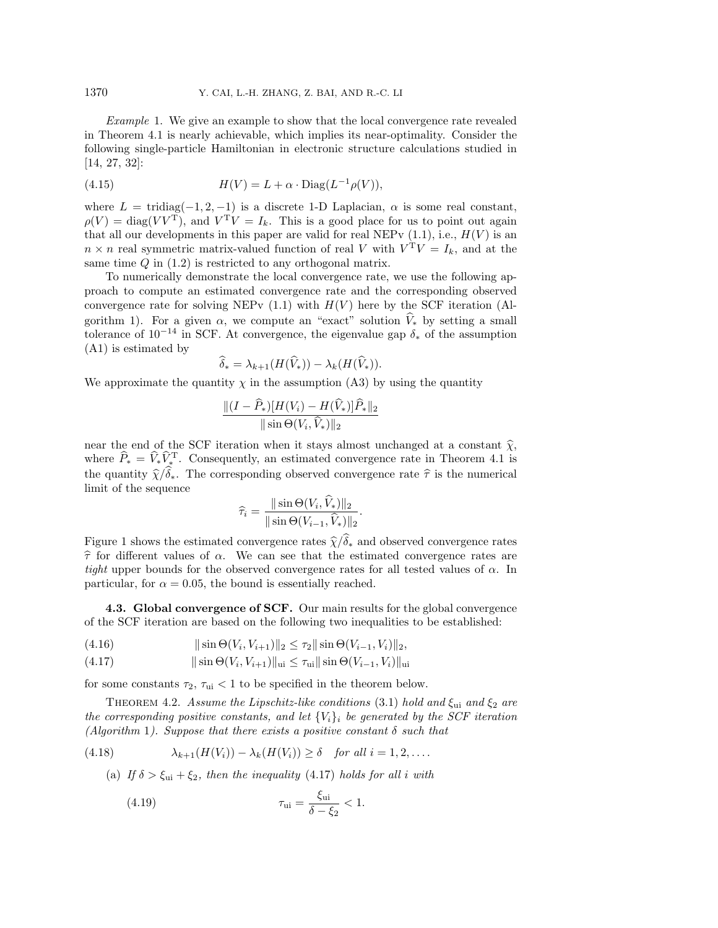<span id="page-10-5"></span>Example 1. We give an example to show that the local convergence rate revealed in Theorem [4.1](#page-7-3) is nearly achievable, which implies its near-optimality. Consider the following single-particle Hamiltonian in electronic structure calculations studied in [\[14,](#page-21-8) [27,](#page-21-9) [32\]](#page-22-1):

<span id="page-10-1"></span>(4.15) 
$$
H(V) = L + \alpha \cdot \text{Diag}(L^{-1}\rho(V)),
$$

where  $L = \text{tridiag}(-1, 2, -1)$  is a discrete 1-D Laplacian,  $\alpha$  is some real constant,  $\rho (V) = \text{diag}(VV^T)$ , and  $V^T V = I_k$ . This is a good place for us to point out again that all our developments in this paper are valid for real NEPv  $(1.1)$ , i.e.,  $H(V)$  is an  $n \times n$  real symmetric matrix-valued function of real V with  $V^{T}V = I_{k}$ , and at the same time  $Q$  in  $(1.2)$  is restricted to any orthogonal matrix.

To numerically demonstrate the local convergence rate, we use the following approach to compute an estimated convergence rate and the corresponding observed convergence rate for solving NEPv  $(1.1)$  with  $H(V)$  here by the SCF iteration (Al-gorithm [1\)](#page-6-4). For a given  $\alpha$ , we compute an "exact" solution  $V_*$  by setting a small tolerance of  $10^{-14}$  in SCF. At convergence, the eigenvalue gap  $\delta_{*}$  of the assumption (A1) is estimated by

$$
\widehat{\delta}_* = \lambda_{k+1}(H(\widehat{V}_*)) - \lambda_k(H(\widehat{V}_*)).
$$

We approximate the quantity  $\chi$  in the assumption (A3) by using the quantity

$$
\frac{\|(I-\widehat{P}_*)[H(V_i)-H(\widehat{V}_*)]\widehat{P}_*\|_2}{\|\sin\Theta(V_i,\widehat{V}_*)\|_2}
$$

near the end of the SCF iteration when it stays almost unchanged at a constant  $\hat \chi$ , where  $\widehat{P}_* = \widehat{V}_* \widehat{V}_*^T$ . Consequently, an estimated convergence rate in Theorem [4.1](#page-7-3) is the quantity  $\hat \chi / \hat \delta_*$ . The corresponding observed convergence rate  $\hat \tau$  is the numerical limit of the sequence

$$
\widehat{\tau}_i = \frac{\|\sin \Theta(V_i, V_*)\|_2}{\|\sin \Theta(V_{i-1}, \widehat{V}_*)\|_2}
$$

.

Figure [1](#page-11-0) shows the estimated convergence rates  $\hat \chi / \hat \delta_*$  and observed convergence rates  $\hat{\tau}$  for different values of  $\alpha$ . We can see that the estimated convergence rates are tight upper bounds for the observed convergence rates for all tested values of  $\alpha$ . In particular, for  $\alpha = 0.05$ , the bound is essentially reached.

4.3. Global convergence of SCF. Our main results for the global convergence of the SCF iteration are based on the following two inequalities to be established:

<span id="page-10-2"></span><span id="page-10-0"></span>(4.16) 
$$
\|\sin\Theta(V_i,V_{i+1})\|_2 \leq \tau_2 \|\sin\Theta(V_{i-1},V_i)\|_2,
$$

(4.17) 
$$
\|\sin\Theta(V_i, V_{i+1})\|_{\text{ui}} \le \tau_{\text{ui}} \|\sin\Theta(V_{i-1}, V_i)\|_{\text{ui}}
$$

for some constants  $\tau_2, \tau_{\text{ui}} < 1$  to be specified in the theorem below.

<span id="page-10-4"></span>THEOREM 4.2. Assume the Lipschitz-like conditions [\(3.1\)](#page-4-2) hold and  $\xi_{ui}$  and  $\xi_2$  are the corresponding positive constants, and let  $\{V_i\}_i$  be generated by the SCF iteration (Algorithm [1](#page-6-4)). Suppose that there exists a positive constant  $\delta$  such that

<span id="page-10-3"></span>(4.18) 
$$
\lambda_{k+1}(H(V_i)) - \lambda_k(H(V_i)) \geq \delta \quad \text{for all } i = 1, 2, \ldots.
$$

(a) If  $\delta > \xi_{\rm ui} + \xi_2$ , then the inequality [\(4.17\)](#page-10-0) holds for all i with

(4.19) 
$$
\tau_{ui} = \frac{\xi_{ui}}{\delta - \xi_2} < 1.
$$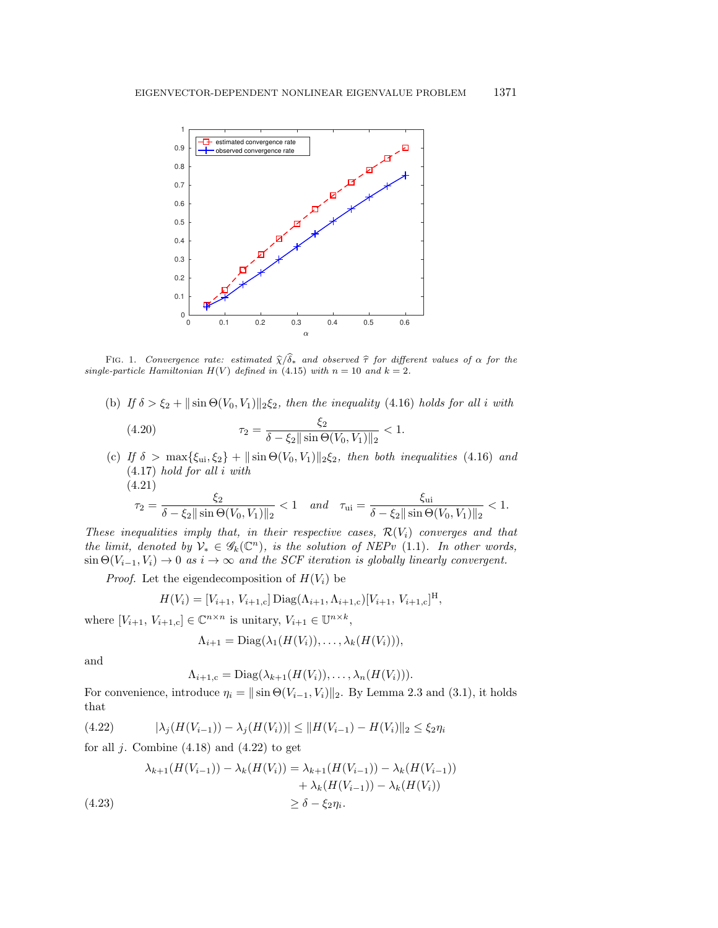<span id="page-11-0"></span>

FIG. 1. Convergence rate: estimated  $\hat{\chi}/\hat{\delta}_*$  and observed  $\hat{\tau}$  for different values of  $\alpha$  for the single-particle Hamiltonian  $H(V)$  defined in [\(4.15\)](#page-10-1) with  $n = 10$  and  $k = 2$ .

(b) If  $\delta > \xi_2 + ||\sin \Theta (V_0, V_1)||_2\xi_2$ , then the inequality [\(4.16\)](#page-10-2) holds for all i with

<span id="page-11-2"></span>(4.20) 
$$
\tau_2 = \frac{\xi_2}{\delta - \xi_2 \|\sin \Theta(V_0, V_1)\|_2} < 1.
$$

(c) If  $\delta > \max\{ \xi_{ui}, \xi_2\} + || \sin \Theta (V_0, V_1)||_2\xi_2$ , then both inequalities [\(4.16\)](#page-10-2) and [\(4.17\)](#page-10-0) hold for all i with (4.21)

<span id="page-11-3"></span>
$$
\tau_2 = \frac{\xi_2}{\delta - \xi_2 \|\sin \Theta(V_0, V_1)\|_2} < 1 \quad and \quad \tau_{ui} = \frac{\xi_{ui}}{\delta - \xi_2 \|\sin \Theta(V_0, V_1)\|_2} < 1.
$$

These inequalities imply that, in their respective cases,  $\mathcal{R} (V_i)$  converges and that the limit, denoted by  $V_* \in \mathscr{G}_k(\mathbb C^n)$ , is the solution of NEPv [\(1.1\)](#page-0-0). In other words,  $\sin \Theta (V_{i-1}, V_i) \rightarrow 0$  as  $i \rightarrow \infty$  and the SCF iteration is globally linearly convergent.

*Proof.* Let the eigendecomposition of  $H(V_i)$  be

$$
H(V_i) = [V_{i+1}, V_{i+1,c}] \operatorname{Diag}(\Lambda_{i+1}, \Lambda_{i+1,c}) [V_{i+1}, V_{i+1,c}]^{\mathrm{H}},
$$

where  $[V_{i+1}, V_{i+1,c}] \in \mathbb C^{n \times n}$  is unitary,  $V_{i+1} \in \mathbb U^{n \times k}$ ,

$$
\Lambda_{i+1} = \text{Diag}(\lambda_1(H(V_i)), \ldots, \lambda_k(H(V_i))),
$$

and

<span id="page-11-1"></span>
$$
\Lambda_{i+1,c} = \text{Diag}(\lambda_{k+1}(H(V_i)), \ldots, \lambda_n(H(V_i))).
$$

For convenience, introduce  $\eta_i = || \sin \Theta (V_{i-1}, V_i)||_2$ . By Lemma [2.3](#page-4-3) and [\(3.1\)](#page-4-2), it holds that

$$
(4.22) \qquad |\lambda_j(H(V_{i-1})) - \lambda_j(H(V_i))| \le ||H(V_{i-1}) - H(V_i)||_2 \le \xi_2 \eta_i
$$

for all  $j$ . Combine  $(4.18)$  and  $(4.22)$  to get

$$
\lambda_{k+1}(H(V_{i-1})) - \lambda_k(H(V_i)) = \lambda_{k+1}(H(V_{i-1})) - \lambda_k(H(V_{i-1})) + \lambda_k(H(V_{i-1})) - \lambda_k(H(V_i)) \ge \delta - \xi_2 \eta_i.
$$
\n(4.23)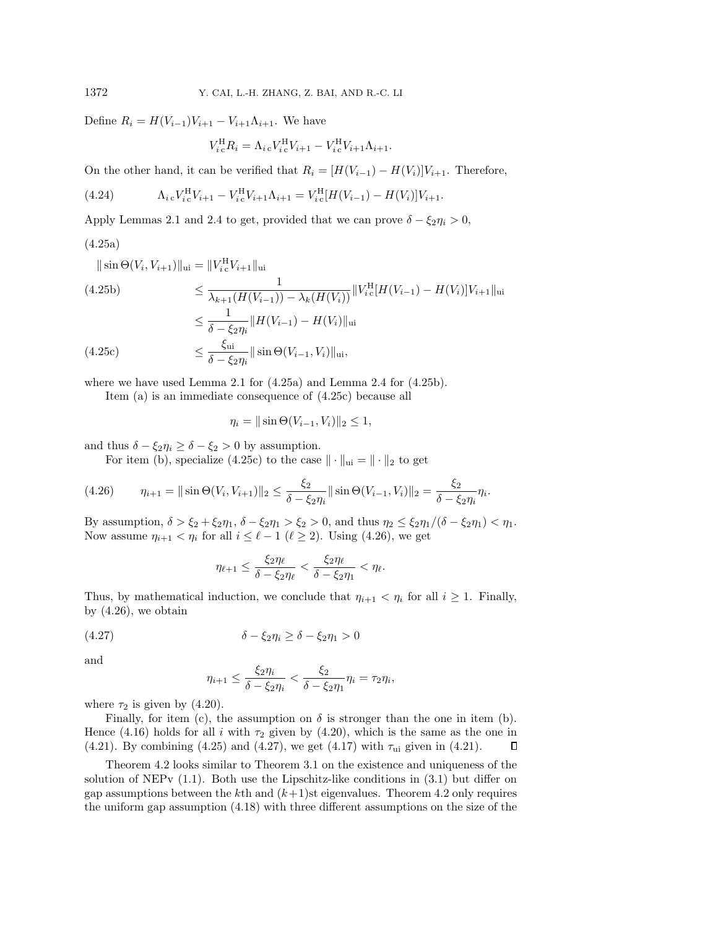Define  $R_i = H(V_{i-1})V_{i+1} - V_{i+1}\Lambda_{i+1}$ . We have

<span id="page-12-4"></span>
$$
V_{i}^{H}R_{i} = \Lambda_{i}{}_{c}V_{i}^{H}V_{i+1} - V_{i}^{H}V_{i+1}\Lambda_{i+1}.
$$

On the other hand, it can be verified that  $R_i = [H(V_{i-1}) - H(V_i)]V_{i+1}$ . Therefore,

(4.24) 
$$
\Lambda_{i}{}_{c}V_{i}^{H}V_{i+1} - V_{i}^{H}V_{i+1}\Lambda_{i+1} = V_{i}^{H}[H(V_{i-1}) - H(V_{i})]V_{i+1}.
$$

Apply Lemmas [2.1](#page-3-1) and [2.4](#page-4-1) to get, provided that we can prove  $\delta - \xi_2 \eta_i > 0$ ,

## <span id="page-12-0"></span>(4.25a)

<span id="page-12-1"></span>
$$
\|\sin \Theta(V_i, V_{i+1})\|_{\text{ui}} = \|V_{i\text{c}}^H V_{i+1}\|_{\text{ui}}
$$
\n(4.25b)\n
$$
\leq \frac{1}{\lambda_{k+1}(H(V_{i-1})) - \lambda_k(H(V_i))} \|V_{i\text{c}}^H [H(V_{i-1}) - H(V_i)]V_{i+1}\|_{\text{ui}}
$$
\n
$$
\leq \frac{1}{\delta - \xi_2 \eta_i} \|H(V_{i-1}) - H(V_i)\|_{\text{ui}}
$$
\n(4.25c)\n
$$
\leq \frac{\xi_{\text{ui}}}{\delta - \xi_2 \eta_i} \|\sin \Theta(V_{i-1}, V_i)\|_{\text{ui}},
$$

<span id="page-12-2"></span>where we have used Lemma [2.1](#page-3-1) for [\(4.25a\)](#page-12-0) and Lemma [2.4](#page-4-1) for [\(4.25b\)](#page-12-1).

Item (a) is an immediate consequence of [\(4.25c\)](#page-12-2) because all

$$
\eta_i = ||\sin\Theta(V_{i-1}, V_i)||_2 \le 1,
$$

and thus  $\delta - \xi_2 \eta_i \geq \delta - \xi_2 > 0$  by assumption.

<span id="page-12-3"></span>For item (b), specialize [\(4.25c\)](#page-12-2) to the case  $\| \cdot \|_{ui} = \| \cdot \|_2$  to get

$$
(4.26) \qquad \eta_{i+1} = \|\sin\Theta(V_i, V_{i+1})\|_2 \le \frac{\xi_2}{\delta - \xi_2\eta_i} \|\sin\Theta(V_{i-1}, V_i)\|_2 = \frac{\xi_2}{\delta - \xi_2\eta_i} \eta_i.
$$

By assumption,  $\delta > \xi _2 + \xi _2\eta _1,$   $\delta - \xi _2\eta _1 > \xi _2 > 0$ , and thus  $\eta _2 \leq \xi _2\eta _1/(\delta - \xi _2\eta _1) < \eta _1$ . Now assume  $\eta_{i+1} < \eta_i$  for all  $i \leq \ell - 1$  ( $\ell \geq 2$ ). Using [\(4.26\)](#page-12-3), we get

$$
\eta_{\ell+1} \leq \frac{\xi_2 \eta_{\ell}}{\delta - \xi_2 \eta_{\ell}} < \frac{\xi_2 \eta_{\ell}}{\delta - \xi_2 \eta_1} < \eta_{\ell}.
$$

Thus, by mathematical induction, we conclude that  $\eta_{i+1} < \eta_i$  for all  $i \geq 1$ . Finally, by  $(4.26)$ , we obtain

$$
(4.27) \qquad \delta - \xi_2 \eta_i \ge \delta - \xi_2 \eta_1 > 0
$$

and

<span id="page-12-5"></span>
$$
\eta_{i+1} \leq \frac{\xi_2 \eta_i}{\delta - \xi_2 \eta_i} < \frac{\xi_2}{\delta - \xi_2 \eta_1} \eta_i = \tau_2 \eta_i,
$$

where  $\tau_2$  is given by [\(4.20\)](#page-11-2).

Finally, for item (c), the assumption on  $\delta$  is stronger than the one in item (b). Hence [\(4.16\)](#page-10-2) holds for all i with  $\tau_2$  given by [\(4.20\)](#page-11-2), which is the same as the one in [\(4.21\)](#page-11-3). By combining [\(4.25\)](#page-12-4) and [\(4.27\)](#page-12-5), we get [\(4.17\)](#page-10-0) with  $\tau_{ui}$  given in (4.21).  $\Box$ 

Theorem [4.2](#page-10-4) looks similar to Theorem [3.1](#page-4-7) on the existence and uniqueness of the solution of NEPv [\(1.1\)](#page-0-0). Both use the Lipschitz-like conditions in [\(3.1\)](#page-4-2) but differ on gap assumptions between the kth and  $(k+1)$ st eigenvalues. Theorem [4.2](#page-10-4) only requires the uniform gap assumption [\(4.18\)](#page-10-3) with three different assumptions on the size of the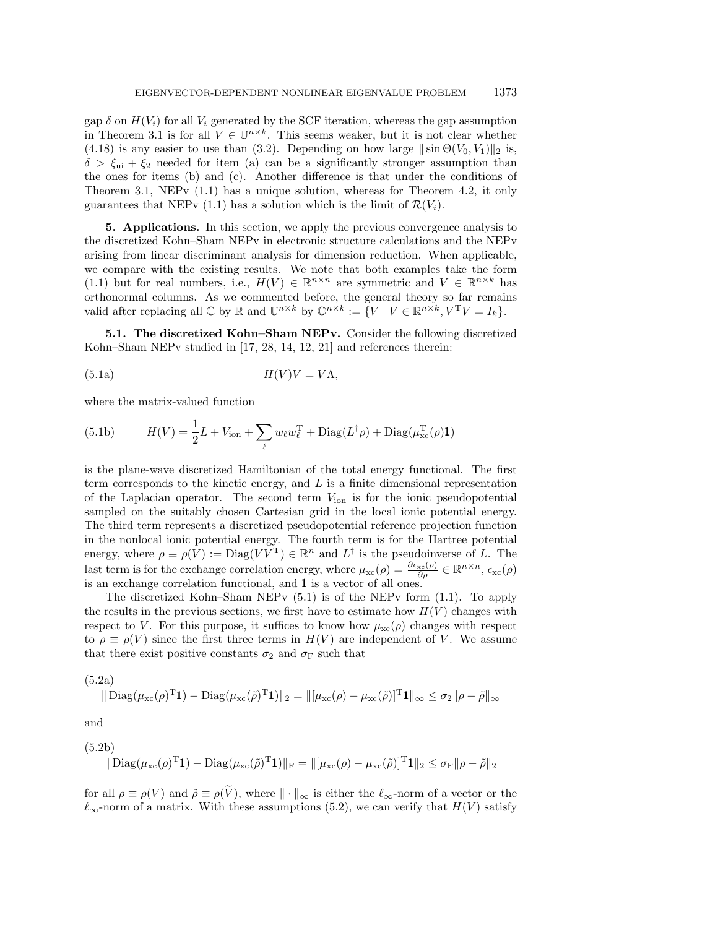gap  $\delta$  on  $H(V_i)$  for all  $V_i$  generated by the SCF iteration, whereas the gap assumption in Theorem [3.1](#page-4-7) is for all  $V \in \mathbb{U}^{n \times k}$ . This seems weaker, but it is not clear whether [\(4.18\)](#page-10-3) is any easier to use than [\(3.2\)](#page-4-6). Depending on how large  $\|\sin \Theta (V_0, V_1)\|_2$  is,  $\delta > \xi_{\rm ui} + \xi_2$  needed for item (a) can be a significantly stronger assumption than the ones for items (b) and (c). Another difference is that under the conditions of Theorem [3.1,](#page-4-7) NEPv [\(1.1\)](#page-0-0) has a unique solution, whereas for Theorem [4.2,](#page-10-4) it only guarantees that NEPv [\(1.1\)](#page-0-0) has a solution which is the limit of  $\mathcal{R} (V_i)$ .

<span id="page-13-0"></span>5. Applications. In this section, we apply the previous convergence analysis to the discretized Kohn--Sham NEPv in electronic structure calculations and the NEPv arising from linear discriminant analysis for dimension reduction. When applicable, we compare with the existing results. We note that both examples take the form [\(1.1\)](#page-0-0) but for real numbers, i.e.,  $H(V) \in \mathbb{R}^{n \times n}$  are symmetric and  $V \in \mathbb{R}^{n \times k}$  has orthonormal columns. As we commented before, the general theory so far remains valid after replacing all  $\Bbb C$  by  $\Bbb R$  and  $\Bbb U^{n\times k}$  by  $\Bbb O^{n\times k} := \{ V \mid V \in \Bbb R^{n\times k}, V^{\rm T}V = I_k\}.$ 

<span id="page-13-1"></span>5.1. The discretized Kohn-Sham NEPv. Consider the following discretized Kohn-Sham NEPv studied in [\[17,](#page-21-19) [28,](#page-21-20) [14,](#page-21-8) [12,](#page-21-21) [21\]](#page-21-22) and references therein:

$$
(5.1a) \t\t\t H(V)V = V\Lambda,
$$

where the matrix-valued function

(5.1b) 
$$
H(V) = \frac{1}{2}L + V_{\text{ion}} + \sum_{\ell} w_{\ell} w_{\ell}^{T} + \text{Diag}(L^{\dagger} \rho) + \text{Diag}(\mu_{\text{xc}}^{T}(\rho) \mathbf{1})
$$

is the plane-wave discretized Hamiltonian of the total energy functional. The first term corresponds to the kinetic energy, and  $L$  is a finite dimensional representation of the Laplacian operator. The second term  $V_{\text{ion}}$  is for the ionic pseudopotential sampled on the suitably chosen Cartesian grid in the local ionic potential energy. The third term represents a discretized pseudopotential reference projection function in the nonlocal ionic potential energy. The fourth term is for the Hartree potential energy, where  $\rho \equiv \rho (V) := \text{Diag}(V V^T) \in \mathbb{R}^n$  and  $L^{\dagger}$  is the pseudoinverse of L. The last term is for the exchange correlation energy, where  $\mu_{\rm xc}(\rho) = \frac{\partial \epsilon_{\rm xc}(\rho )}{\partial \rho} \in \mathbb{R}^{n \times n}$ ,  $\epsilon_{\rm xc}(\rho)$ is an exchange correlation functional, and 1 is a vector of all ones.

The discretized Kohn-Sham NEPv  $(5.1)$  is of the NEPv form  $(1.1)$ . To apply the results in the previous sections, we first have to estimate how  $H(V)$  changes with respect to V. For this purpose, it suffices to know how  $\mu_{\rm xc}(\rho)$  changes with respect to  $\rho \equiv \rho (V )$  since the first three terms in  $H(V )$  are independent of V. We assume that there exist positive constants  $\sigma_2$  and  $\sigma_F$  such that

(5.2a)

<span id="page-13-2"></span>
$$
\|\operatorname{Diag}(\mu_{\mathrm{xc}}(\rho)^{\mathrm{T}}\mathbf{1}) - \operatorname{Diag}(\mu_{\mathrm{xc}}(\tilde{\rho})^{\mathrm{T}}\mathbf{1})\|_{2} = \|[\mu_{\mathrm{xc}}(\rho) - \mu_{\mathrm{xc}}(\tilde{\rho})]^{\mathrm{T}}\mathbf{1}\|_{\infty} \leq \sigma_{2} \|\rho - \tilde{\rho}\|_{\infty}
$$

and

(5.2b)  

$$
\|\operatorname{Diag}(\mu_{\rm xc}(\rho)^T\mathbf{1}) - \operatorname{Diag}(\mu_{\rm xc}(\tilde{\rho})^T\mathbf{1})\|_{\rm F} = \|[\mu_{\rm xc}(\rho) - \mu_{\rm xc}(\tilde{\rho})]^T\mathbf{1}\|_2 \le \sigma_{\rm F} \|\rho - \tilde{\rho}\|_2
$$

for all  $\rho \equiv \rho (V)$  and  $\tilde{\rho} \equiv \rho (\tilde{V}),$  where  $\| \cdot \|_{\infty}$  is either the  $\ell_{\infty}$ -norm of a vector or the  $\ell_{\infty}$ -norm of a matrix. With these assumptions [\(5.2\)](#page-13-2), we can verify that  $H(V)$  satisfy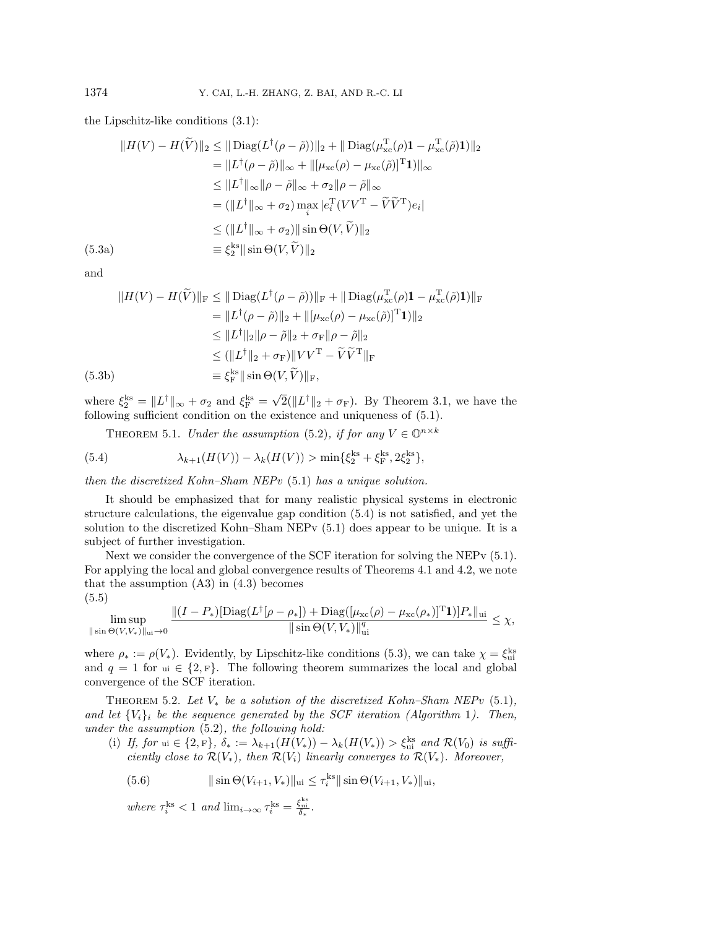the Lipschitz-like conditions [\(3.1\)](#page-4-2):

$$
||H(V) - H(\widetilde{V})||_2 \le ||\operatorname{Diag}(L^{\dagger}(\rho - \widetilde{\rho}))||_2 + ||\operatorname{Diag}(\mu_{\mathrm{xc}}^{\mathrm{T}}(\rho)\mathbf{1} - \mu_{\mathrm{xc}}^{\mathrm{T}}(\widetilde{\rho})\mathbf{1})||_2
$$
  
\n
$$
= ||L^{\dagger}(\rho - \widetilde{\rho})||_{\infty} + ||[\mu_{\mathrm{xc}}(\rho) - \mu_{\mathrm{xc}}(\widetilde{\rho})]^{\mathrm{T}}\mathbf{1})||_{\infty}
$$
  
\n
$$
\le ||L^{\dagger}||_{\infty} ||\rho - \widetilde{\rho}||_{\infty} + \sigma_2 ||\rho - \widetilde{\rho}||_{\infty}
$$
  
\n
$$
= (||L^{\dagger}||_{\infty} + \sigma_2) \max_{i} |e_i^{\mathrm{T}}(VV^{\mathrm{T}} - \widetilde{V}\widetilde{V}^{\mathrm{T}})e_i|
$$
  
\n
$$
\le (||L^{\dagger}||_{\infty} + \sigma_2)||\sin\Theta(V,\widetilde{V})||_2
$$
  
\n(5.3a)  
\n
$$
\equiv \xi_2^{\mathrm{ks}}||\sin\Theta(V,\widetilde{V})||_2
$$

and

$$
||H(V) - H(\tilde{V})||_{\mathcal{F}} \le ||\operatorname{Diag}(L^{\dagger}(\rho - \tilde{\rho}))||_{\mathcal{F}} + ||\operatorname{Diag}(\mu_{\mathrm{xc}}^{\mathrm{T}}(\rho)\mathbf{1} - \mu_{\mathrm{xc}}^{\mathrm{T}}(\tilde{\rho})\mathbf{1})||_{\mathcal{F}}
$$
  
\n
$$
= ||L^{\dagger}(\rho - \tilde{\rho})||_{2} + ||(\mu_{\mathrm{xc}}(\rho) - \mu_{\mathrm{xc}}(\tilde{\rho})]^{\mathrm{T}}\mathbf{1})||_{2}
$$
  
\n
$$
\le ||L^{\dagger}||_{2}||\rho - \tilde{\rho}||_{2} + \sigma_{\mathcal{F}}||\rho - \tilde{\rho}||_{2}
$$
  
\n
$$
\le (||L^{\dagger}||_{2} + \sigma_{\mathcal{F}})||VV^{\mathrm{T}} - \tilde{V}\tilde{V}^{\mathrm{T}}||_{\mathcal{F}}
$$
  
\n(5.3b)  
\n
$$
\equiv \xi_{\mathcal{F}}^{\mathrm{ks}}||\sin\Theta(V,\tilde{V})||_{\mathcal{F}},
$$

where  $\xi_2^{\text{ks}} = ||L^{\dagger}||_{\infty} + \sigma_2$  and  $\xi_{\text{F}}^{\text{ks}} =$  $\overline{\phantom{a}}$  $\overline{2}(\| L^{\dagger} \|_{2} + \sigma_{\text{F}}).$  By Theorem [3.1,](#page-4-7) we have the following sufficient condition on the existence and uniqueness of [\(5.1\)](#page-13-1).

<span id="page-14-0"></span>THEOREM 5.1. Under the assumption [\(5.2\)](#page-13-2), if for any  $V \in \Bbb O^{n\times k}$ 

(5.4) 
$$
\lambda_{k+1}(H(V)) - \lambda_k(H(V)) > \min\{\xi_2^{ks} + \xi_F^{ks}, 2\xi_2^{ks}\},
$$

then the discretized Kohn-Sham NEPv  $(5.1)$  has a unique solution.

It should be emphasized that for many realistic physical systems in electronic structure calculations, the eigenvalue gap condition [\(5.4\)](#page-14-0) is not satisfied, and yet the solution to the discretized Kohn-Sham NEP $v$  [\(5.1\)](#page-13-1) does appear to be unique. It is a subject of further investigation.

Next we consider the convergence of the SCF iteration for solving the NEPv [\(5.1\)](#page-13-1). For applying the local and global convergence results of Theorems [4.1](#page-7-3) and [4.2,](#page-10-4) we note that the assumption  $(A3)$  in  $(4.3)$  becomes

$$
(5.5)
$$

$$
\limsup_{\|\sin\Theta(V,V_*)\|_{\text{ui}}\to 0} \frac{\|(I-P_*)[\text{Diag}(L^{\dagger}[\rho-\rho_*])+\text{Diag}([\mu_{\text{xc}}(\rho)-\mu_{\text{xc}}(\rho_*)]^{\text{T}}\mathbf{1})]P_*\|_{\text{ui}}}{\|\sin\Theta(V,V_*)\|_{\text{ui}}^q} \leq \chi,
$$

where  $\rho_* := \rho(V_*)$ . Evidently, by Lipschitz-like conditions [\(5.3\)](#page-14-1), we can take  $\chi = \xi_{\rm ui}^{\rm ks}$ and  $q = 1$  for  $u \in \{ 2, F \}$ . The following theorem summarizes the local and global convergence of the SCF iteration.

<span id="page-14-2"></span>THEOREM 5.2. Let  $V_*$  be a solution of the discretized Kohn-Sham NEPv [\(5.1\)](#page-13-1), and let  $\{V_i\}_i$  be the sequence generated by the SCF iteration (Algorithm [1](#page-6-4)). Then, under the assumption [\(5.2\)](#page-13-2), the following hold:

(i) If, for ui  $\in \{ 2, F\}$ ,  $\delta \ast := \lambda_{k+1}(H(V_\ast)) - \lambda_k(H(V_\ast)) > \xi_{\text{ui}}^{\text{ks}}$  and  $\mathcal{R}(V_0)$  is sufficiently close to  $\mathcal{R} (V_\ast)$ , then  $\mathcal{R} (V_i)$  linearly converges to  $\mathcal{R} (V_\ast)$ . Moreover,

<span id="page-14-3"></span>(5.6) 
$$
\|\sin\Theta(V_{i+1}, V_*)\|_{\text{ui}} \leq \tau_i^{\text{ks}} \|\sin\Theta(V_{i+1}, V_*)\|_{\text{ui}},
$$

where  $\tau_i^{\text{ks}} < 1$  and  $\lim_{i \to \infty} \tau_i^{\text{ks}} = \frac{\xi_{\text{ui}}^{\text{ks}}}{\delta_*}.$ 

<span id="page-14-1"></span>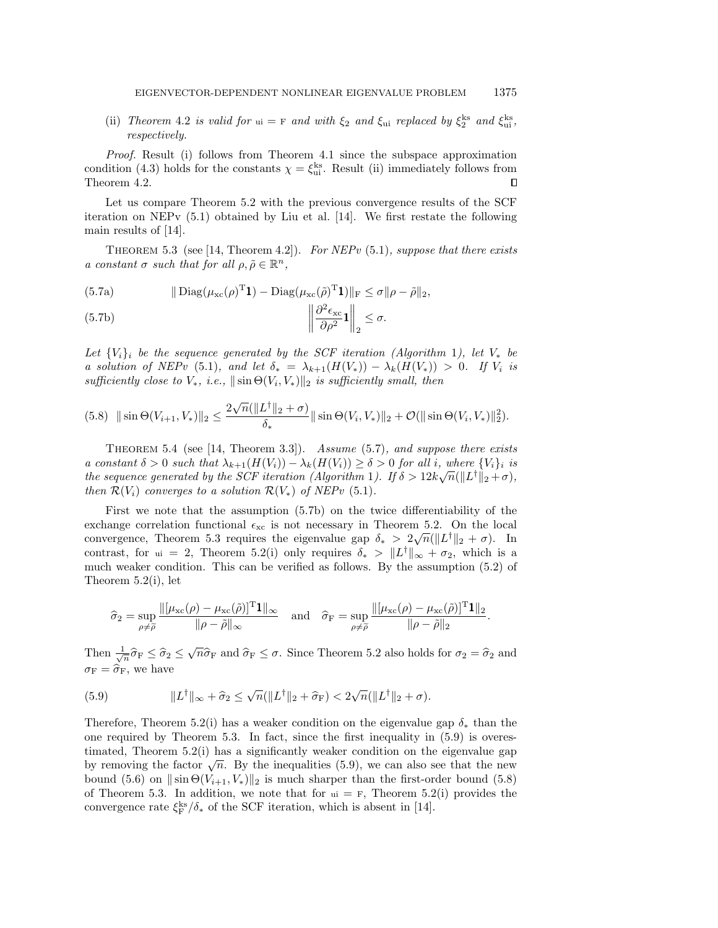(ii) Theorem [4.2](#page-10-4) is valid for  $u_i = F$  and with  $\xi_2$  and  $\xi_{ui}$  replaced by  $\xi_2^{ks}$  and  $\xi_{ui}^{ks}$ , respectively.

Proof. Result (i) follows from Theorem [4.1](#page-7-3) since the subspace approximation condition [\(4.3\)](#page-7-4) holds for the constants  $\chi = \xi_{ui}^{ks}$ . Result (ii) immediately follows from Theorem [4.2.](#page-10-4)  $\Box$ 

Let us compare Theorem [5.2](#page-14-2) with the previous convergence results of the SCF iteration on NEPv [\(5.1\)](#page-13-1) obtained by Liu et al. [\[14\]](#page-21-8). We first restate the following main results of [\[14\]](#page-21-8).

<span id="page-15-2"></span><span id="page-15-0"></span>THEOREM 5.3 (see [\[14,](#page-21-8) Theorem 4.2]). For NEPv [\(5.1\)](#page-13-1), suppose that there exists a constant  $\sigma$  such that for all  $\rho, \tilde{\rho} \in \mathbb{R}^n$ ,

(5.7a) 
$$
\|\text{Diag}(\mu_{\text{xc}}(\rho)^{\text{T}}\mathbf{1}) - \text{Diag}(\mu_{\text{xc}}(\tilde{\rho})^{\text{T}}\mathbf{1})\|_{\text{F}} \leq \sigma \|\rho - \tilde{\rho}\|_{2},
$$

<span id="page-15-1"></span>(5.7b) 
$$
\left\|\frac{\partial^2 \epsilon_{\rm xc}}{\partial \rho^2} \mathbf{1}\right\|_2 \leq \sigma.
$$

Let  $\{ V_i\}_i$  be the sequence generated by the SCF iteration (Algorithm [1](#page-6-4)), let  $V_*$  be a solution of NEPv [\(5.1\)](#page-13-1), and let  $\delta_* = \lambda_{k+1}(H(V_\ast)) - \lambda_k(H(V_\ast)) > 0$ . If  $V_i$  is sufficiently close to  $V_*$ , i.e.,  $\|\sin \Theta (V_i, V_*)\|_2$  is sufficiently small, then

<span id="page-15-4"></span>
$$
(5.8)\ \ \|\sin\Theta(V_{i+1}, V_*)\|_2 \le \frac{2\sqrt{n}(\|L^{\dagger}\|_2 + \sigma)}{\delta_*} \|\sin\Theta(V_i, V_*)\|_2 + \mathcal{O}(\|\sin\Theta(V_i, V_*)\|_2^2).
$$

<span id="page-15-5"></span>THEOREM 5.4 (see [\[14,](#page-21-8) Theorem 3.3]). Assume  $(5.7)$ , and suppose there exists a constant  $\delta > 0$  such that  $\lambda_{k+1}(H(V_i)) - \lambda_k(H(V_i)) \geq \delta > 0$  for all i, where  $\{ V_i\}_i$  is the sequence generated by the SCF iteration (Algorithm [1](#page-6-4)). If  $\delta > 12k\sqrt{n}(\| L^{\dagger} \|_2 + \sigma)$ , then  $\mathcal{R} (V_i)$  converges to a solution  $\mathcal{R} (V_*)$  of NEPv [\(5.1\)](#page-13-1).

First we note that the assumption [\(5.7b\)](#page-15-1) on the twice differentiability of the exchange correlation functional  $\epsilon_{\rm xc}$  is not necessary in Theorem [5.2.](#page-14-2) On the local convergence, Theorem [5.3](#page-15-2) requires the eigenvalue gap  $\delta_* > 2\sqrt{n}(\| L^{\dagger} \|_2 + \sigma)$ . In contrast, for  $u = 2$ , Theorem [5.2\(](#page-14-2)i) only requires  $\delta_* > \| L^{\dagger} \|_{\infty} + \sigma_2$ , which is a much weaker condition. This can be verified as follows. By the assumption [\(5.2\)](#page-13-2) of Theorem [5.2\(](#page-14-2)i), let

$$
\widehat{\sigma}_2 = \sup_{\rho \neq \widetilde{\rho}} \frac{\|[\mu_{\rm xc}(\rho) - \mu_{\rm xc}(\widetilde{\rho})]^{\rm T} \mathbf{1}\|_{\infty}}{\|\rho - \widetilde{\rho}\|_{\infty}} \quad \text{and} \quad \widehat{\sigma}_{\rm F} = \sup_{\rho \neq \widetilde{\rho}} \frac{\|[\mu_{\rm xc}(\rho) - \mu_{\rm xc}(\widetilde{\rho})]^{\rm T} \mathbf{1}\|_2}{\|\rho - \widetilde{\rho}\|_2}
$$

.

Then  $\frac{1}{\sqrt{n}} \hat{\sigma}_{\rm F} \leq \hat{\sigma}_2 \leq \sqrt{n} \hat{\sigma}_{\rm F}$  and  $\hat{\sigma}_{\rm F} \leq \sigma$ . Since Theorem [5.2](#page-14-2) also holds for  $\sigma_2 = \hat{\sigma}_2$  and  $\sigma_F = \widehat{\sigma}_F$ , we have

<span id="page-15-3"></span>(5.9) 
$$
||L^{\dagger}||_{\infty} + \widehat{\sigma}_2 \le \sqrt{n} (||L^{\dagger}||_2 + \widehat{\sigma}_F) < 2\sqrt{n} (||L^{\dagger}||_2 + \sigma).
$$

Therefore, Theorem [5.2\(](#page-14-2)i) has a weaker condition on the eigenvalue gap  $\delta_*$  than the one required by Theorem [5.3.](#page-15-2) In fact, since the first inequality in [\(5.9\)](#page-15-3) is overestimated, Theorem [5.2\(](#page-14-2)i) has a significantly weaker condition on the eigenvalue gap timated, Theorem 3.2(1) has a significantly weaker condition on the eigenvalue gap<br>by removing the factor  $\sqrt{n}$ . By the inequalities [\(5.9\)](#page-15-3), we can also see that the new bound [\(5.6\)](#page-14-3) on  $\|\sin \Theta (V_{i+1}, V_{\ast})\|_2$  is much sharper than the first-order bound [\(5.8\)](#page-15-4) of Theorem [5.3.](#page-15-2) In addition, we note that for  $\mathbf{u} = \mathbf{F}$ , Theorem [5.2\(](#page-14-2)i) provides the convergence rate  $\xi_{\rm F}^{\rm ks}/\delta_*$  of the SCF iteration, which is absent in [\[14\]](#page-21-8).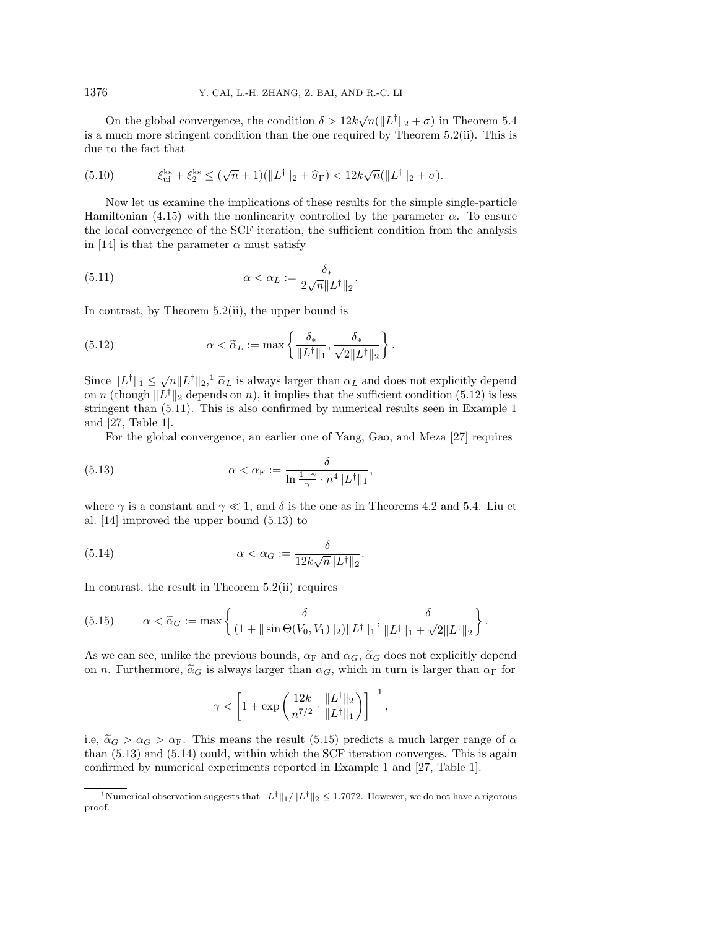On the global convergence, the condition  $\delta > 12k\sqrt{n}(\| L^{\dagger} \|_2 + \sigma)$  in Theorem [5.4](#page-15-5) is a much more stringent condition than the one required by Theorem [5.2\(](#page-14-2)ii). This is due to the fact that

(5.10) 
$$
\xi_{ui}^{ks} + \xi_2^{ks} \leq (\sqrt{n} + 1)(\|L^{\dagger}\|_2 + \widehat{\sigma}_F) < 12k\sqrt{n}(\|L^{\dagger}\|_2 + \sigma).
$$

Now let us examine the implications of these results for the simple single-particle Hamiltonian [\(4.15\)](#page-10-1) with the nonlinearity controlled by the parameter  $\alpha$ . To ensure the local convergence of the SCF iteration, the sufficient condition from the analysis in [\[14\]](#page-21-8) is that the parameter  $\alpha$  must satisfy

<span id="page-16-2"></span>(5.11) 
$$
\alpha < \alpha_L := \frac{\delta_*}{2\sqrt{n}||L^\dagger||_2}.
$$

In contrast, by Theorem [5.2\(](#page-14-2)ii), the upper bound is

<span id="page-16-1"></span>(5.12) 
$$
\alpha < \widetilde{\alpha}_L := \max \left\{ \frac{\delta_*}{\|L^{\dagger}\|_1}, \frac{\delta_*}{\sqrt{2}\|L^{\dagger}\|_2} \right\}.
$$

Since  $\| L^{\dagger} \|_1 \leq \sqrt{n} \| L^{\dagger} \|_2$  $\| L^{\dagger} \|_1 \leq \sqrt{n} \| L^{\dagger} \|_2$  $\| L^{\dagger} \|_1 \leq \sqrt{n} \| L^{\dagger} \|_2$ ,  $\tilde{\alpha}_L$  is always larger than  $\alpha_L$  and does not explicitly depend<br>on n (though  $\| L^{\dagger} \|_2$  depends on n) it implies that the sufficient condition (5.12) is less on n (though  $\| L^{\dagger} \|_2$  depends on n), it implies that the sufficient condition [\(5.12\)](#page-16-1) is less stringent than [\(5.11\)](#page-16-2). This is also confirmed by numerical results seen in Example [1](#page-10-5) and [\[27,](#page-21-9) Table 1].

<span id="page-16-3"></span>For the global convergence, an earlier one of Yang, Gao, and Meza [\[27\]](#page-21-9) requires

(5.13) 
$$
\alpha < \alpha_{\mathcal{F}} := \frac{\delta}{\ln \frac{1-\gamma}{\gamma} \cdot n^4 \|L^{\dagger}\|_1},
$$

where  $\gamma$  is a constant and  $\gamma \ll 1$ , and  $\delta$  is the one as in Theorems [4.2](#page-10-4) and [5.4.](#page-15-5) Liu et al. [\[14\]](#page-21-8) improved the upper bound [\(5.13\)](#page-16-3) to

(5.14) 
$$
\alpha < \alpha_G := \frac{\delta}{12k\sqrt{n}\|L^{\dagger}\|_2}.
$$

In contrast, the result in Theorem [5.2\(](#page-14-2)ii) requires

<span id="page-16-4"></span>(5.15) 
$$
\alpha < \widetilde{\alpha}_G := \max \left\{ \frac{\delta}{(1 + \|\sin \Theta(V_0, V_1)\|_2) \|L^{\dagger}\|_1}, \frac{\delta}{\|L^{\dagger}\|_1 + \sqrt{2} \|L^{\dagger}\|_2} \right\}
$$

As we can see, unlike the previous bounds,  $\alpha_F$  and  $\alpha_G$ ,  $\widetilde{\alpha}_G$  does not explicitly depend on n. Furthermore,  $\widetilde{\alpha}_G$  is always larger than  $\alpha_G$ , which in turn is larger than  $\alpha_F$  for

.

<span id="page-16-5"></span>
$$
\gamma < \left[1 + \exp\left(\frac{12k}{n^{7/2}} \cdot \frac{\|L^{\dagger}\|_2}{\|L^{\dagger}\|_1}\right)\right]^{-1},
$$

i.e,  $\alpha G > \alpha F$ . This means the result [\(5.15\)](#page-16-4) predicts a much larger range of  $\alpha$ than [\(5.13\)](#page-16-3) and [\(5.14\)](#page-16-5) could, within which the SCF iteration converges. This is again confirmed by numerical experiments reported in Example [1](#page-10-5) and [\[27,](#page-21-9) Table 1].

<span id="page-16-0"></span><sup>&</sup>lt;sup>1</sup>Numerical observation suggests that  $\| L^{\dagger} \|_1/\| L^{\dagger} \|_2 \leq 1.7072$ . However, we do not have a rigorous proof.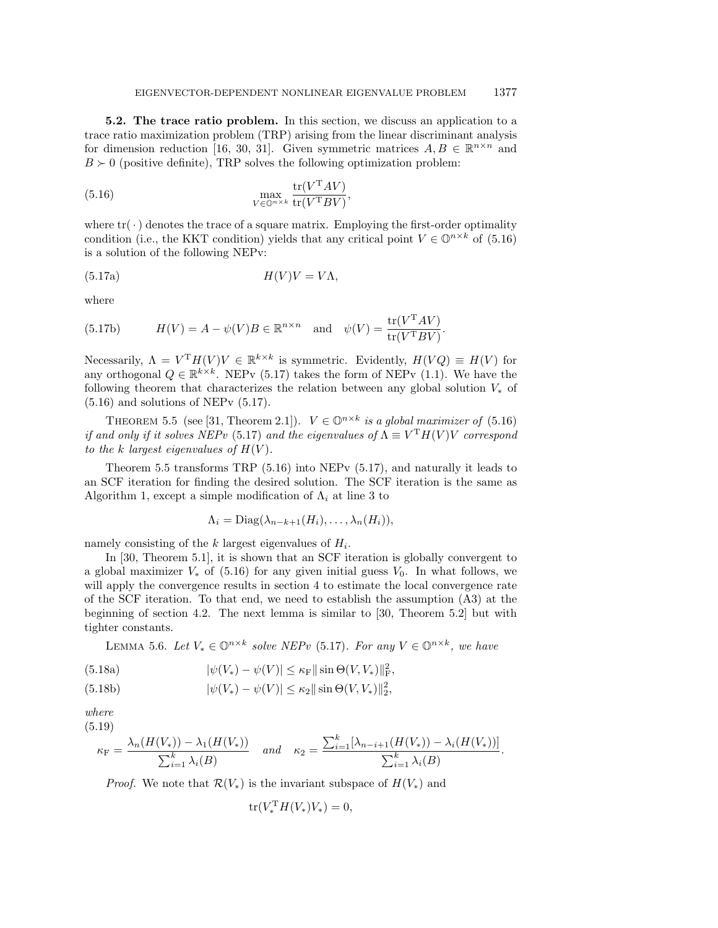<span id="page-17-0"></span>5.2. The trace ratio problem. In this section, we discuss an application to a trace ratio maximization problem (TRP) arising from the linear discriminant analysis for dimension reduction [\[16,](#page-21-5) [30,](#page-22-2) [31\]](#page-22-3). Given symmetric matrices  $A, B \in \mathbb{R}^{n \times n}$  and  $B \succ 0$  (positive definite), TRP solves the following optimization problem:

<span id="page-17-1"></span>(5.16) 
$$
\max_{V \in \mathbb{Q}^{n \times k}} \frac{\text{tr}(V^{\mathsf{T}}AV)}{\text{tr}(V^{\mathsf{T}}BV)},
$$

where  $\text{tr}(\cdot )$  denotes the trace of a square matrix. Employing the first-order optimality condition (i.e., the KKT condition) yields that any critical point  $V \in \mathbb{O}^{n \times k}$  of [\(5.16\)](#page-17-1) is a solution of the following NEPv:

<span id="page-17-2"></span>
$$
(5.17a) \t\t\t H(V)V = V\Lambda,
$$

where

<span id="page-17-7"></span>(5.17b) 
$$
H(V) = A - \psi(V)B \in \mathbb{R}^{n \times n} \text{ and } \psi(V) = \frac{\text{tr}(V^T A V)}{\text{tr}(V^T B V)}.
$$

Necessarily,  $\Lambda = V^{\mathrm{T}} H(V) V \in \mathbb{R}^{k \times k}$  is symmetric. Evidently,  $H(VQ) \equiv H(V)$  for any orthogonal  $Q \in \mathbb{R}^{k \times k}$ . NEPv [\(5.17\)](#page-17-2) takes the form of NEPv [\(1.1\)](#page-0-0). We have the following theorem that characterizes the relation between any global solution  $V_\ast$  of  $(5.16)$  and solutions of NEP<sub>v</sub>  $(5.17)$ .

<span id="page-17-3"></span>THEOREM 5.5 (see [\[31,](#page-22-3) Theorem 2.1]).  $V \in \mathbb{O}^{n \times k}$  is a global maximizer of [\(5.16\)](#page-17-1) if and only if it solves NEPv [\(5.17\)](#page-17-2) and the eigenvalues of  $\Lambda \equiv V^{\mathrm{T}} H(V) V$  correspond to the k largest eigenvalues of  $H(V)$ .

Theorem [5.5](#page-17-3) transforms TRP [\(5.16\)](#page-17-1) into NEPv [\(5.17\)](#page-17-2), and naturally it leads to an SCF iteration for finding the desired solution. The SCF iteration is the same as Algorithm [1,](#page-6-4) except a simple modification of  $\Lambda_i$  at line 3 to

$$
\Lambda_i = \text{Diag}(\lambda_{n-k+1}(H_i), \ldots, \lambda_n(H_i)),
$$

namely consisting of the  $k$  largest eigenvalues of  $H_i$ .

In [\[30,](#page-22-2) Theorem 5.1], it is shown that an SCF iteration is globally convergent to a global maximizer  $V_*$  of [\(5.16\)](#page-17-1) for any given initial guess  $V_0$ . In what follows, we will apply the convergence results in section [4](#page-6-0) to estimate the local convergence rate of the SCF iteration. To that end, we need to establish the assumption (A3) at the beginning of section [4.2.](#page-7-5) The next lemma is similar to [\[30,](#page-22-2) Theorem 5.2] but with tighter constants.

<span id="page-17-8"></span>LEMMA 5.6. Let  $V_* \in \mathbb{O}^{n \times k}$  solve NEPv [\(5.17\)](#page-17-2). For any  $V \in \mathbb{O}^{n \times k}$ , we have

(5.18a) 
$$
|\psi(V_*) - \psi(V)| \le \kappa_F ||\sin \Theta(V, V_*)||_F^2,
$$

<span id="page-17-5"></span>(5.18b) 
$$
|\psi(V_*) - \psi(V)| \le \kappa_2 ||\sin \Theta(V, V_*)||_2^2,
$$

where (5.19)

<span id="page-17-6"></span>
$$
\kappa_{\rm F} = \frac{\lambda_n(H(V_*)) - \lambda_1(H(V_*))}{\sum_{i=1}^k \lambda_i(B)} \quad \text{and} \quad \kappa_2 = \frac{\sum_{i=1}^k [\lambda_{n-i+1}(H(V_*)) - \lambda_i(H(V_*))]}{\sum_{i=1}^k \lambda_i(B)}.
$$

*Proof.* We note that  $\mathcal{R} (V_\ast )$  is the invariant subspace of  $H(V_\ast )$  and

<span id="page-17-4"></span>
$$
\text{tr}(V_*^{\text{T}} H(V_*)V_*) = 0,
$$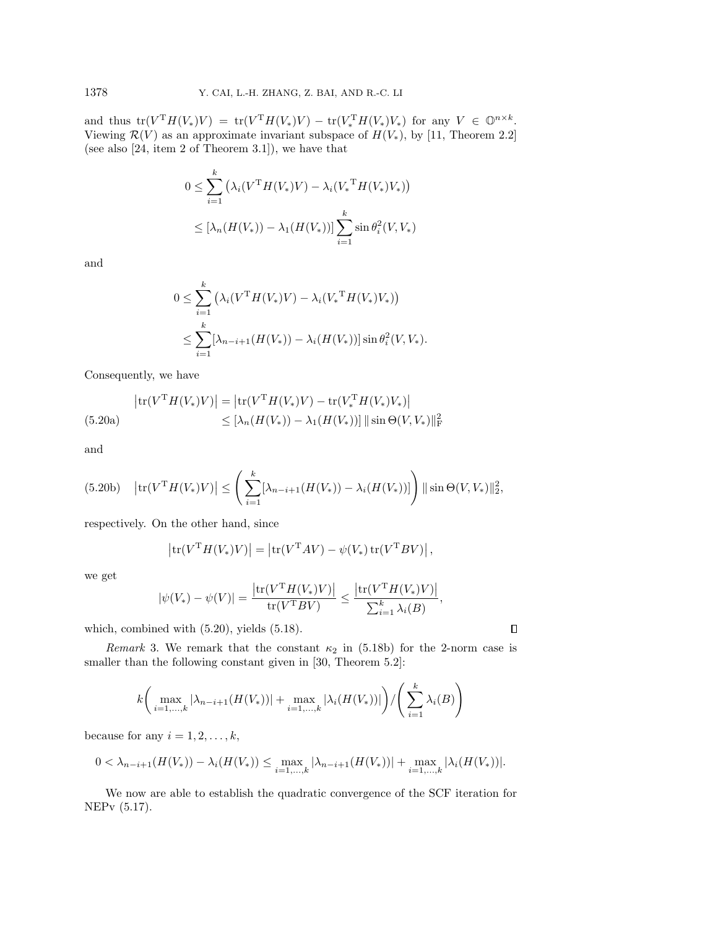and thus  $tr(V^T H(V_*) V) = tr(V^T H(V_*) V) - tr(V_*^T H(V_*) V_*)$  for any  $V \in \mathbb{O}^{n \times k}$ . Viewing  $\mathcal R (V )$  as an approximate invariant subspace of  $H(V_*)$ , by [\[11,](#page-21-23) Theorem 2.2] (see also [\[24,](#page-21-24) item 2 of Theorem 3.1]), we have that

$$
0 \le \sum_{i=1}^{k} (\lambda_i (V^{\mathrm{T}} H(V_*) V) - \lambda_i (V_*^{\mathrm{T}} H(V_*) V_*) )
$$
  
 
$$
\le [\lambda_n (H(V_*)) - \lambda_1 (H(V_*))] \sum_{i=1}^{k} \sin \theta_i^2 (V, V_*)
$$

and

<span id="page-18-0"></span>
$$
0 \leq \sum_{i=1}^{k} (\lambda_i (V^{\mathrm{T}} H(V_*) V) - \lambda_i (V_*^{\mathrm{T}} H(V_*) V_*) )
$$
  
 
$$
\leq \sum_{i=1}^{k} [\lambda_{n-i+1} (H(V_*)) - \lambda_i (H(V_*))] \sin \theta_i^2 (V, V_*).
$$

Consequently, we have

$$
\left| \text{tr}(V^{\mathrm{T}} H(V_*) V) \right| = \left| \text{tr}(V^{\mathrm{T}} H(V_*) V) - \text{tr}(V_*^{\mathrm{T}} H(V_*) V_*) \right|
$$
  
(5.20a)
$$
\leq \left[ \lambda_n (H(V_*)) - \lambda_1 (H(V_*)) \right] \|\sin \Theta(V, V_*)\|_{\text{F}}^2
$$

and

$$
(5.20b) \quad \left| \text{tr}(V^{\mathsf{T}} H(V_*)V) \right| \leq \left( \sum_{i=1}^k [\lambda_{n-i+1}(H(V_*)) - \lambda_i(H(V_*))] \right) \|\sin \Theta(V, V_*)\|_2^2,
$$

respectively. On the other hand, since

$$
\left|\text{tr}(V^{\text{T}}H(V_*)V)\right| = \left|\text{tr}(V^{\text{T}}AV) - \psi(V_*)\text{tr}(V^{\text{T}}BV)\right|,
$$

we get

$$
|\psi(V_*) - \psi(V)| = \frac{\left| \text{tr}(V^{\mathrm{T}}H(V_*)V) \right|}{\text{tr}(V^{\mathrm{T}}BV)} \le \frac{\left| \text{tr}(V^{\mathrm{T}}H(V_*)V) \right|}{\sum_{i=1}^k \lambda_i(B)},
$$

 $\Box$ 

which, combined with [\(5.20\)](#page-18-0), yields [\(5.18\)](#page-17-4).

Remark 3. We remark that the constant  $\kappa_2$  in [\(5.18b\)](#page-17-5) for the 2-norm case is smaller than the following constant given in [\[30,](#page-22-2) Theorem 5.2]:

$$
k\left(\max_{i=1,\dots,k} |\lambda_{n-i+1}(H(V_*))| + \max_{i=1,\dots,k} |\lambda_i(H(V_*))|\right) / \left(\sum_{i=1}^k \lambda_i(B)\right)
$$

because for any  $i = 1, 2, \ldots, k$ ,

$$
0 < \lambda_{n-i+1}(H(V_*)) - \lambda_i(H(V_*)) \le \max_{i=1,\dots,k} |\lambda_{n-i+1}(H(V_*))| + \max_{i=1,\dots,k} |\lambda_i(H(V_*))|.
$$

We now are able to establish the quadratic convergence of the SCF iteration for NEPv [\(5.17\)](#page-17-2).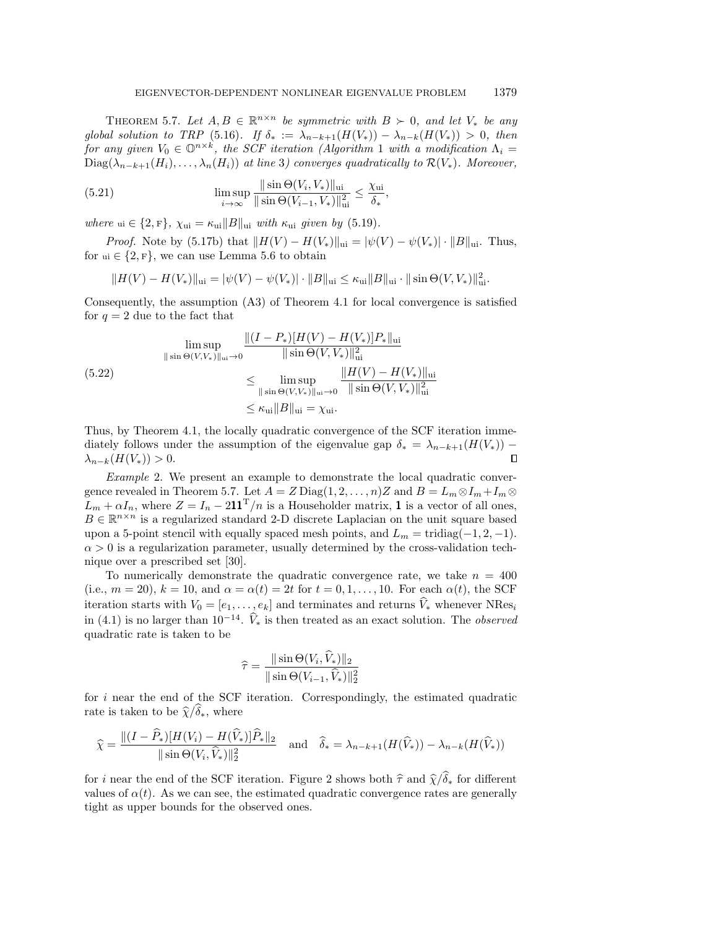,

<span id="page-19-0"></span>THEOREM 5.7. Let  $A, B \in \mathbb{R}^{n \times n}$  be symmetric with  $B \succ 0$ , and let  $V_*$  be any global solution to TRP [\(5.16\)](#page-17-1). If  $\delta_* := \lambda_{n - k+1}(H(V_*)) - \lambda_{n - k}(H(V_*)) > 0$ , then for any given  $V_0 \in \mathbb O^{n\times k}$ , the SCF iteration (Algorithm [1](#page-6-4) with a modification  $\Lambda_i =$  $Diag(\lambda_{n - k+1}(H_i), \ldots, \lambda_n(H_i))$  at line 3) converges quadratically to  $\mathcal{R} (V_\ast )$ . Moreover,

(5.21) 
$$
\limsup_{i \to \infty} \frac{\|\sin \Theta(V_i, V_*)\|_{\text{ui}}}{\|\sin \Theta(V_{i-1}, V_*)\|_{\text{ui}}^2} \le \frac{\chi_{\text{ui}}}{\delta_*}
$$

where ui  $\in \{ 2, F\}$ ,  $\chi$ ui  $= \kappa$ ui $||B||$ ui with  $\kappa$ ui given by [\(5.19\)](#page-17-6).

*Proof.* Note by [\(5.17b\)](#page-17-7) that  $\| H(V) - H(V_*) \|_{\text{ui}} = | \psi (V) - \psi (V_*) | \cdot \| B\|_{\text{ui}}$ . Thus, for  $u_i \in \{ 2, F\}$ , we can use Lemma [5.6](#page-17-8) to obtain

$$
||H(V) - H(V_*)||_{\text{ui}} = |\psi(V) - \psi(V_*)| \cdot ||B||_{\text{ui}} \le \kappa_{\text{ui}} ||B||_{\text{ui}} \cdot ||\sin \Theta(V, V_*)||_{\text{ui}}^2.
$$

Consequently, the assumption (A3) of Theorem [4.1](#page-7-3) for local convergence is satisfied for  $q = 2$  due to the fact that

$$
\limsup_{\|\sin \Theta(V,V_*)\|_{\text{ui}} \to 0} \frac{\|(I - P_*)[H(V) - H(V_*)]P_*\|_{\text{ui}}}{\|\sin \Theta(V,V_*)\|_{\text{ui}}^2}
$$
\n(5.22)\n
$$
\leq \limsup_{\|\sin \Theta(V,V_*)\|_{\text{ui}} \to 0} \frac{\|H(V) - H(V_*)\|_{\text{ui}}}{\|\sin \Theta(V,V_*)\|_{\text{ui}}^2}
$$
\n
$$
\leq \kappa_{\text{ui}} \|B\|_{\text{ui}} = \chi_{\text{ui}}.
$$

Thus, by Theorem [4.1,](#page-7-3) the locally quadratic convergence of the SCF iteration immediately follows under the assumption of the eigenvalue gap  $\delta_* = \lambda_{n-k+1}(H(V_*))$  - $\lambda_{n-k}(H(V_*)) > 0.$ 

Example 2. We present an example to demonstrate the local quadratic conver-gence revealed in Theorem [5.7.](#page-19-0) Let  $A = Z \text{Diag}(1, 2, ..., n)Z$  and  $B = L_m \otimes I_m + I_m \otimes I_m$  $L_m + \alpha I_n$ , where  $Z = I_n - 211<sup>T</sup>/n$  is a Householder matrix, 1 is a vector of all ones,  $B \in \mathbb{R}^{n \times n}$  is a regularized standard 2-D discrete Laplacian on the unit square based upon a 5-point stencil with equally spaced mesh points, and  $L_m = \text{tridiag}(-1, 2, -1)$ .  $\alpha > 0$  is a regularization parameter, usually determined by the cross-validation technique over a prescribed set [\[30\]](#page-22-2).

To numerically demonstrate the quadratic convergence rate, we take  $n = 400$ (i.e.,  $m = 20$ ),  $k = 10$ , and  $\alpha = \alpha (t) = 2t$  for  $t = 0, 1, \ldots, 10$ . For each  $\alpha (t)$ , the SCF iteration starts with  $V_0 = [e_1, \ldots, e_k]$  and terminates and returns  $\widehat V_*$  whenever NRes<sub>i</sub> in [\(4.1\)](#page-6-5) is no larger than  $10^{-14}$ .  $\hat{V}_*$  is then treated as an exact solution. The *observed* quadratic rate is taken to be

$$
\widehat{\tau} = \frac{\|\sin \Theta(V_i, \widehat{V}_*)\|_2}{\|\sin \Theta(V_{i-1}, \widehat{V}_*)\|_2^2}
$$

for i near the end of the SCF iteration. Correspondingly, the estimated quadratic rate is taken to be  $\hat \chi / \delta \hat \chi$ , where

$$
\widehat{\chi} = \frac{\|(I - \widehat{P}_*)[H(V_i) - H(\widehat{V}_*)]\widehat{P}_*\|_2}{\|\sin \Theta(V_i, \widehat{V}_*)\|_2^2} \quad \text{and} \quad \widehat{\delta}_* = \lambda_{n-k+1}(H(\widehat{V}_*)) - \lambda_{n-k}(H(\widehat{V}_*))
$$

for i near the end of the SCF iteration. Figure [2](#page-20-2) shows both  $\hat \tau$  and  $\hat \chi / \hat \delta_*$  for different values of  $\alpha (t)$ . As we can see, the estimated quadratic convergence rates are generally tight as upper bounds for the observed ones.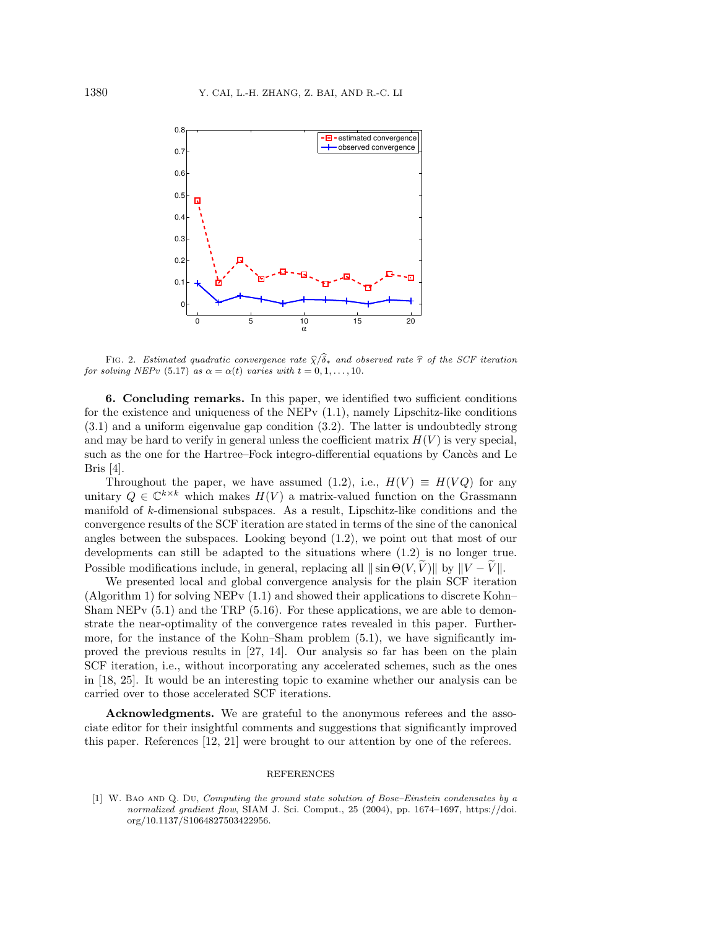<span id="page-20-2"></span>

FIG. 2. Estimated quadratic convergence rate  $\hat \chi / \hat \delta_*$  and observed rate  $\hat \tau$  of the SCF iteration for solving NEPv [\(5.17\)](#page-17-2) as  $\alpha = \alpha (t)$  varies with  $t = 0, 1, ..., 10$ .

<span id="page-20-1"></span>6. Concluding remarks. In this paper, we identified two sufficient conditions for the existence and uniqueness of the NEPv  $(1.1)$ , namely Lipschitz-like conditions [\(3.1\)](#page-4-2) and a uniform eigenvalue gap condition [\(3.2\)](#page-4-6). The latter is undoubtedly strong and may be hard to verify in general unless the coefficient matrix  $H(V)$  is very special, such as the one for the Hartree-Fock integro-differential equations by Cancès and Le Bris [\[4\]](#page-21-7).

Throughout the paper, we have assumed [\(1.2\)](#page-0-1), i.e.,  $H(V) \equiv H(V Q)$  for any unitary  $Q \in \mathbb{C}^{k \times k}$  which makes  $H(V)$  a matrix-valued function on the Grassmann manifold of k-dimensional subspaces. As a result, Lipschitz-like conditions and the convergence results of the SCF iteration are stated in terms of the sine of the canonical angles between the subspaces. Looking beyond [\(1.2\)](#page-0-1), we point out that most of our developments can still be adapted to the situations where [\(1.2\)](#page-0-1) is no longer true. Possible modifications include, in general, replacing all  $\|\sin \Theta (V, \tilde{V})\|$  by  $\| V - \tilde{V}\|$ .

We presented local and global convergence analysis for the plain SCF iteration (Algorithm [1\)](#page-6-4) for solving NEPv  $(1.1)$  and showed their applications to discrete Kohn-Sham NEPv  $(5.1)$  and the TRP  $(5.16)$ . For these applications, we are able to demonstrate the near-optimality of the convergence rates revealed in this paper. Furthermore, for the instance of the Kohn-Sham problem  $(5.1)$ , we have significantly improved the previous results in [\[27,](#page-21-9) [14\]](#page-21-8). Our analysis so far has been on the plain SCF iteration, i.e., without incorporating any accelerated schemes, such as the ones in [\[18,](#page-21-25) [25\]](#page-21-26). It would be an interesting topic to examine whether our analysis can be carried over to those accelerated SCF iterations.

Acknowledgments. We are grateful to the anonymous referees and the associate editor for their insightful comments and suggestions that significantly improved this paper. References [\[12,](#page-21-21) [21\]](#page-21-22) were brought to our attention by one of the referees.

## REFERENCES

<span id="page-20-0"></span> $[1]$  W. BAO AND Q. Du, Computing the ground state solution of Bose-Einstein condensates by a normalized gradient flow, SIAM J. Sci. Comput., 25 (2004), pp. 1674-1697, [https://doi.](https://doi.org/10.1137/S1064827503422956) [org/10.1137/S1064827503422956.](https://doi.org/10.1137/S1064827503422956)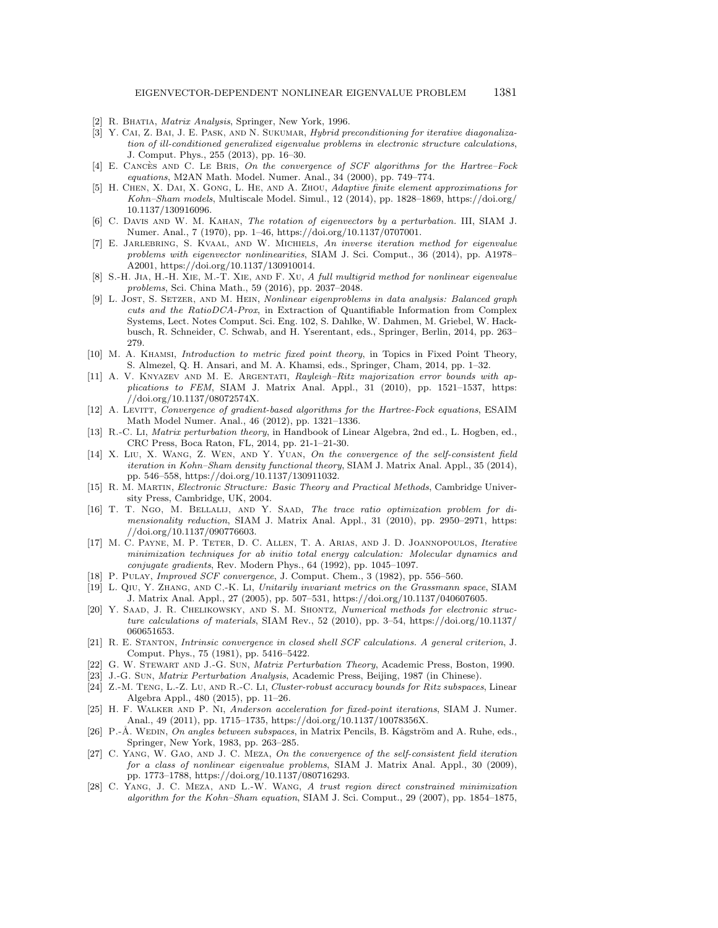- <span id="page-21-10"></span>[2] R. BHATIA, *Matrix Analysis*, Springer, New York, 1996.
- <span id="page-21-18"></span>[3] Y. CAI, Z. BAI, J. E. PASK, AND N. SUKUMAR, *Hybrid preconditioning for iterative diagonaliza*tion of ill-conditioned generalized eigenvalue problems in electronic structure calculations, J. Comput. Phys., 255 (2013), pp. 16-30.
- <span id="page-21-7"></span>[4] E. CANCÈS AND C. LE BRIS, On the convergence of SCF algorithms for the Hartree-Fock equations, M2AN Math. Model. Numer. Anal., 34 (2000), pp. 749-774.
- <span id="page-21-2"></span>[5] H. Chen, X. Dai, X. Gong, L. He, and A. Zhou, Adaptive finite element approximations for Kohn--Sham models, Multiscale Model. Simul., 12 (2014), pp. 1828--1869, [https://doi.org/](https://doi.org/10.1137/130916096) [10.1137/130916096.](https://doi.org/10.1137/130916096)
- <span id="page-21-15"></span>[6] C. Davis and W. M. Kahan, The rotation of eigenvectors by a perturbation. III, SIAM J. Numer. Anal., 7 (1970), pp. 1-46, [https://doi.org/10.1137/0707001.](https://doi.org/10.1137/0707001)
- <span id="page-21-3"></span>[7] E. Jarlebring, S. Kvaal, and W. Michiels, An inverse iteration method for eigenvalue problems with eigenvector nonlinearities, SIAM J. Sci. Comput., 36 (2014), pp. A1978-A2001, [https://doi.org/10.1137/130910014.](https://doi.org/10.1137/130910014)
- <span id="page-21-4"></span>[8] S.-H. Jia, H.-H. Xie, M.-T. Xie, and F. Xu, A full multigrid method for nonlinear eigenvalue problems, Sci. China Math., 59 (2016), pp. 2037-2048.
- <span id="page-21-6"></span>[9] L. Jost, S. Setzer, and M. Hein, Nonlinear eigenproblems in data analysis: Balanced graph cuts and the RatioDCA-Prox, in Extraction of Quantifiable Information from Complex Systems, Lect. Notes Comput. Sci. Eng. 102, S. Dahlke, W. Dahmen, M. Griebel, W. Hackbusch, R. Schneider, C. Schwab, and H. Yserentant, eds., Springer, Berlin, 2014, pp. 263-- 279.
- <span id="page-21-17"></span>[10] M. A. Khamsi, Introduction to metric fixed point theory, in Topics in Fixed Point Theory, S. Almezel, Q. H. Ansari, and M. A. Khamsi, eds., Springer, Cham, 2014, pp. 1-32.
- <span id="page-21-23"></span>[11] A. V. KNYAZEV AND M. E. ARGENTATI, Rayleigh-Ritz majorization error bounds with applications to FEM, SIAM J. Matrix Anal. Appl., 31 (2010), pp.  $1521-1537$ , [https:](https://doi.org/10.1137/08072574X) [//doi.org/10.1137/08072574X.](https://doi.org/10.1137/08072574X)
- <span id="page-21-21"></span>[12] A. LEVITT, Convergence of gradient-based algorithms for the Hartree-Fock equations, ESAIM Math Model Numer. Anal., 46 (2012), pp. 1321-1336.
- <span id="page-21-16"></span>[13] R.-C. Li, Matrix perturbation theory, in Handbook of Linear Algebra, 2nd ed., L. Hogben, ed., CRC Press, Boca Raton, FL, 2014, pp. 21-1-21-30.
- <span id="page-21-8"></span>[14] X. Liu, X. Wang, Z. Wen, and Y. Yuan, On the convergence of the self-consistent field iteration in Kohn-Sham density functional theory, SIAM J. Matrix Anal. Appl., 35 (2014), pp. 546--558, [https://doi.org/10.1137/130911032.](https://doi.org/10.1137/130911032)
- <span id="page-21-0"></span>[15] R. M. Martin, Electronic Structure: Basic Theory and Practical Methods, Cambridge University Press, Cambridge, UK, 2004.
- <span id="page-21-5"></span>[16] T. T. Ngo, M. Bellalij, and Y. Saad, The trace ratio optimization problem for dimensionality reduction, SIAM J. Matrix Anal. Appl., 31 (2010), pp. 2950-2971, [https:](https://doi.org/10.1137/090776603) [//doi.org/10.1137/090776603.](https://doi.org/10.1137/090776603)
- <span id="page-21-19"></span>[17] M. C. Payne, M. P. Teter, D. C. Allen, T. A. Arias, and J. D. Joannopoulos, Iterative minimization techniques for ab initio total energy calculation: Molecular dynamics and conjugate gradients, Rev. Modern Phys., 64 (1992), pp. 1045-1097.
- <span id="page-21-25"></span>[18] P. PULAY, *Improved SCF convergence*, J. Comput. Chem., 3 (1982), pp. 556-560.
- <span id="page-21-14"></span>[19] L. Qiu, Y. Zhang, and C.-K. Li, Unitarily invariant metrics on the Grassmann space, SIAM J. Matrix Anal. Appl., 27 (2005), pp. 507-531, [https://doi.org/10.1137/040607605.](https://doi.org/10.1137/040607605)
- <span id="page-21-1"></span>[20] Y. SAAD, J. R. CHELIKOWSKY, AND S. M. SHONTZ, Numerical methods for electronic structure calculations of materials, SIAM Rev., 52 (2010), pp. 3–54, [https://doi.org/10.1137/](https://doi.org/10.1137/060651653) [060651653.](https://doi.org/10.1137/060651653)
- <span id="page-21-22"></span>[21] R. E. Stanton, Intrinsic convergence in closed shell SCF calculations. A general criterion, J. Comput. Phys., 75 (1981), pp. 5416-5422.
- <span id="page-21-11"></span>[22] G. W. Stewart and J.-G. Sun, Matrix Perturbation Theory, Academic Press, Boston, 1990.
- <span id="page-21-13"></span>[23] J.-G. Sun, Matrix Perturbation Analysis, Academic Press, Beijing, 1987 (in Chinese).
- <span id="page-21-24"></span>[24] Z.-M. Teng, L.-Z. Lu, and R.-C. Li, Cluster-robust accuracy bounds for Ritz subspaces, Linear Algebra Appl., 480 (2015), pp. 11-26.
- <span id="page-21-26"></span>[25] H. F. Walker and P. Ni, Anderson acceleration for fixed-point iterations, SIAM J. Numer. Anal., 49 (2011), pp. 1715-1735, [https://doi.org/10.1137/10078356X.](https://doi.org/10.1137/10078356X)
- <span id="page-21-12"></span>[26] P.-Å. WEDIN, On angles between subspaces, in Matrix Pencils, B. Kågström and A. Ruhe, eds., Springer, New York, 1983, pp. 263-285.
- <span id="page-21-9"></span>[27] C. YANG, W. GAO, AND J. C. MEZA, On the convergence of the self-consistent field iteration for a class of nonlinear eigenvalue problems, SIAM J. Matrix Anal. Appl., 30 (2009), pp. 1773--1788, [https://doi.org/10.1137/080716293.](https://doi.org/10.1137/080716293)
- <span id="page-21-20"></span>[28] C. Yang, J. C. Meza, and L.-W. Wang, A trust region direct constrained minimization algorithm for the Kohn--Sham equation, SIAM J. Sci. Comput., 29 (2007), pp. 1854--1875,